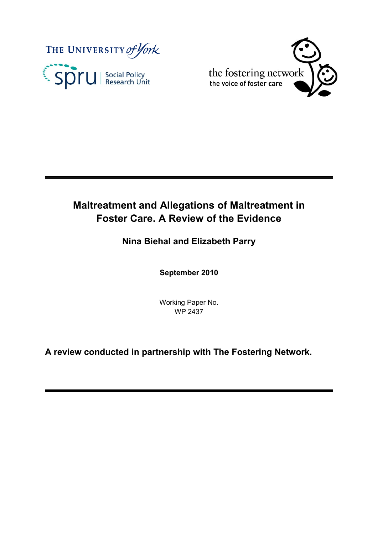



# **Maltreatment and Allegations of Maltreatment in Foster Care. A Review of the Evidence**

## **Nina Biehal and Elizabeth Parry**

**September 2010**

Working Paper No. WP 2437

**A review conducted in partnership with The Fostering Network.**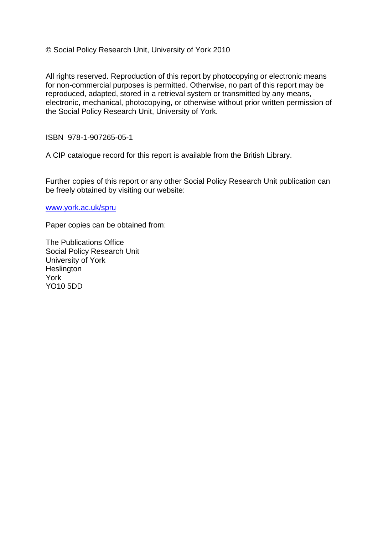© Social Policy Research Unit, University of York 2010

All rights reserved. Reproduction of this report by photocopying or electronic means for non-commercial purposes is permitted. Otherwise, no part of this report may be reproduced, adapted, stored in a retrieval system or transmitted by any means, electronic, mechanical, photocopying, or otherwise without prior written permission of the Social Policy Research Unit, University of York.

ISBN 978-1-907265-05-1

A CIP catalogue record for this report is available from the British Library.

Further copies of this report or any other Social Policy Research Unit publication can be freely obtained by visiting our website:

[www.york.ac.uk/spru](http://www.york.ac.uk/spru)

Paper copies can be obtained from:

The Publications Office Social Policy Research Unit University of York **Heslington** York YO10 5DD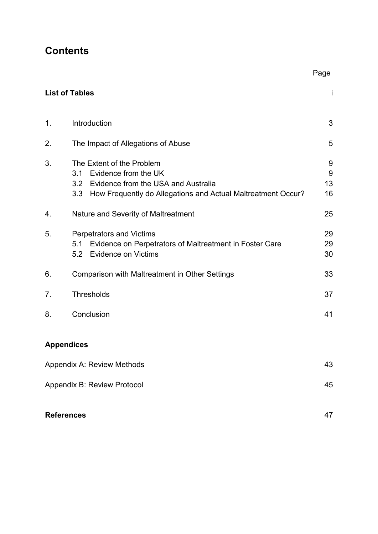# **Contents**

|                             |                                                                                                                                                                         | ·ອ−                |  |  |
|-----------------------------|-------------------------------------------------------------------------------------------------------------------------------------------------------------------------|--------------------|--|--|
|                             | <b>List of Tables</b>                                                                                                                                                   | İ                  |  |  |
| 1.                          | Introduction                                                                                                                                                            | 3                  |  |  |
| 2.                          | The Impact of Allegations of Abuse                                                                                                                                      | 5                  |  |  |
| 3.                          | The Extent of the Problem<br>Evidence from the UK<br>3.1<br>3.2 Evidence from the USA and Australia<br>3.3 How Frequently do Allegations and Actual Maltreatment Occur? | 9<br>9<br>13<br>16 |  |  |
| 4.                          | Nature and Severity of Maltreatment                                                                                                                                     | 25                 |  |  |
| 5.                          | <b>Perpetrators and Victims</b><br>Evidence on Perpetrators of Maltreatment in Foster Care<br>5.1<br>5.2 Evidence on Victims                                            | 29<br>29<br>30     |  |  |
| 6.                          | Comparison with Maltreatment in Other Settings                                                                                                                          | 33                 |  |  |
| 7.                          | <b>Thresholds</b>                                                                                                                                                       | 37                 |  |  |
| 8.                          | Conclusion                                                                                                                                                              | 41                 |  |  |
| <b>Appendices</b>           |                                                                                                                                                                         |                    |  |  |
|                             | <b>Appendix A: Review Methods</b>                                                                                                                                       | 43                 |  |  |
| Appendix B: Review Protocol |                                                                                                                                                                         |                    |  |  |
| <b>References</b>           |                                                                                                                                                                         | 47                 |  |  |

### Page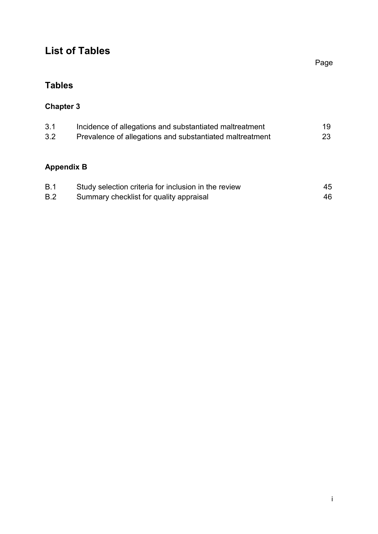# **List of Tables**

**Tables**

## **Chapter 3**

| 3.1 | Incidence of allegations and substantiated maltreatment  | 19 |
|-----|----------------------------------------------------------|----|
| 3.2 | Prevalence of allegations and substantiated maltreatment | 23 |

# **Appendix B**

| B.1 | Study selection criteria for inclusion in the review | 45 |
|-----|------------------------------------------------------|----|
| B.2 | Summary checklist for quality appraisal              | 46 |

Page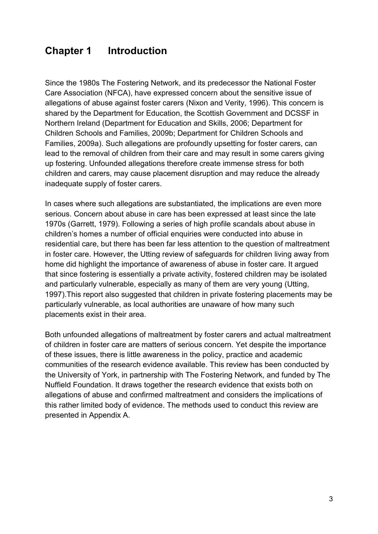## **Chapter 1 Introduction**

Since the 1980s The Fostering Network, and its predecessor the National Foster Care Association (NFCA), have expressed concern about the sensitive issue of allegations of abuse against foster carers (Nixon and Verity, 1996). This concern is shared by the Department for Education, the Scottish Government and DCSSF in Northern Ireland (Department for Education and Skills, 2006; Department for Children Schools and Families, 2009b; Department for Children Schools and Families, 2009a). Such allegations are profoundly upsetting for foster carers, can lead to the removal of children from their care and may result in some carers giving up fostering. Unfounded allegations therefore create immense stress for both children and carers, may cause placement disruption and may reduce the already inadequate supply of foster carers.

In cases where such allegations are substantiated, the implications are even more serious. Concern about abuse in care has been expressed at least since the late 1970s (Garrett, 1979). Following a series of high profile scandals about abuse in children's homes a number of official enquiries were conducted into abuse in residential care, but there has been far less attention to the question of maltreatment in foster care. However, the Utting review of safeguards for children living away from home did highlight the importance of awareness of abuse in foster care. It argued that since fostering is essentially a private activity, fostered children may be isolated and particularly vulnerable, especially as many of them are very young (Utting, 1997).This report also suggested that children in private fostering placements may be particularly vulnerable, as local authorities are unaware of how many such placements exist in their area.

Both unfounded allegations of maltreatment by foster carers and actual maltreatment of children in foster care are matters of serious concern. Yet despite the importance of these issues, there is little awareness in the policy, practice and academic communities of the research evidence available. This review has been conducted by the University of York, in partnership with The Fostering Network, and funded by The Nuffield Foundation. It draws together the research evidence that exists both on allegations of abuse and confirmed maltreatment and considers the implications of this rather limited body of evidence. The methods used to conduct this review are presented in Appendix A.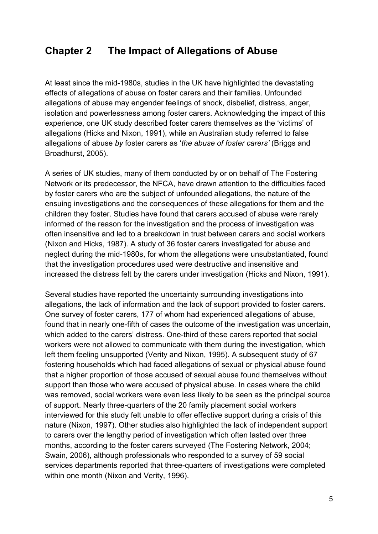### **Chapter 2 The Impact of Allegations of Abuse**

At least since the mid-1980s, studies in the UK have highlighted the devastating effects of allegations of abuse on foster carers and their families. Unfounded allegations of abuse may engender feelings of shock, disbelief, distress, anger, isolation and powerlessness among foster carers. Acknowledging the impact of this experience, one UK study described foster carers themselves as the 'victims' of allegations (Hicks and Nixon, 1991), while an Australian study referred to false allegations of abuse *by* foster carers as '*the abuse of foster carers'* (Briggs and Broadhurst, 2005).

A series of UK studies, many of them conducted by or on behalf of The Fostering Network or its predecessor, the NFCA, have drawn attention to the difficulties faced by foster carers who are the subject of unfounded allegations, the nature of the ensuing investigations and the consequences of these allegations for them and the children they foster. Studies have found that carers accused of abuse were rarely informed of the reason for the investigation and the process of investigation was often insensitive and led to a breakdown in trust between carers and social workers (Nixon and Hicks, 1987). A study of 36 foster carers investigated for abuse and neglect during the mid-1980s, for whom the allegations were unsubstantiated, found that the investigation procedures used were destructive and insensitive and increased the distress felt by the carers under investigation (Hicks and Nixon, 1991).

Several studies have reported the uncertainty surrounding investigations into allegations, the lack of information and the lack of support provided to foster carers. One survey of foster carers, 177 of whom had experienced allegations of abuse, found that in nearly one-fifth of cases the outcome of the investigation was uncertain, which added to the carers' distress. One-third of these carers reported that social workers were not allowed to communicate with them during the investigation, which left them feeling unsupported (Verity and Nixon, 1995). A subsequent study of 67 fostering households which had faced allegations of sexual or physical abuse found that a higher proportion of those accused of sexual abuse found themselves without support than those who were accused of physical abuse. In cases where the child was removed, social workers were even less likely to be seen as the principal source of support. Nearly three-quarters of the 20 family placement social workers interviewed for this study felt unable to offer effective support during a crisis of this nature (Nixon, 1997). Other studies also highlighted the lack of independent support to carers over the lengthy period of investigation which often lasted over three months, according to the foster carers surveyed (The Fostering Network, 2004; Swain, 2006), although professionals who responded to a survey of 59 social services departments reported that three-quarters of investigations were completed within one month (Nixon and Verity, 1996).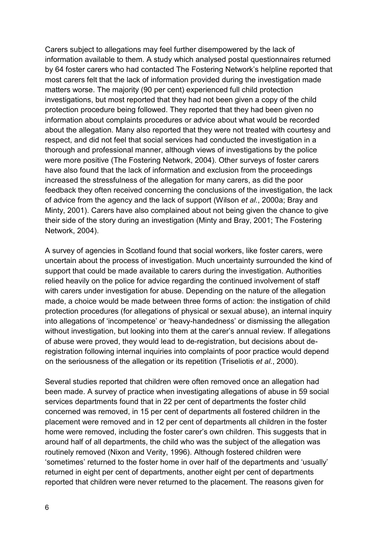Carers subject to allegations may feel further disempowered by the lack of information available to them. A study which analysed postal questionnaires returned by 64 foster carers who had contacted The Fostering Network's helpline reported that most carers felt that the lack of information provided during the investigation made matters worse. The majority (90 per cent) experienced full child protection investigations, but most reported that they had not been given a copy of the child protection procedure being followed. They reported that they had been given no information about complaints procedures or advice about what would be recorded about the allegation. Many also reported that they were not treated with courtesy and respect, and did not feel that social services had conducted the investigation in a thorough and professional manner, although views of investigations by the police were more positive (The Fostering Network, 2004). Other surveys of foster carers have also found that the lack of information and exclusion from the proceedings increased the stressfulness of the allegation for many carers, as did the poor feedback they often received concerning the conclusions of the investigation, the lack of advice from the agency and the lack of support (Wilson *et al.*, 2000a; Bray and Minty, 2001). Carers have also complained about not being given the chance to give their side of the story during an investigation (Minty and Bray, 2001; The Fostering Network, 2004).

A survey of agencies in Scotland found that social workers, like foster carers, were uncertain about the process of investigation. Much uncertainty surrounded the kind of support that could be made available to carers during the investigation. Authorities relied heavily on the police for advice regarding the continued involvement of staff with carers under investigation for abuse. Depending on the nature of the allegation made, a choice would be made between three forms of action: the instigation of child protection procedures (for allegations of physical or sexual abuse), an internal inquiry into allegations of 'incompetence' or 'heavy-handedness' or dismissing the allegation without investigation, but looking into them at the carer's annual review. If allegations of abuse were proved, they would lead to de-registration, but decisions about deregistration following internal inquiries into complaints of poor practice would depend on the seriousness of the allegation or its repetition (Triseliotis *et al.*, 2000).

Several studies reported that children were often removed once an allegation had been made. A survey of practice when investigating allegations of abuse in 59 social services departments found that in 22 per cent of departments the foster child concerned was removed, in 15 per cent of departments all fostered children in the placement were removed and in 12 per cent of departments all children in the foster home were removed, including the foster carer's own children. This suggests that in around half of all departments, the child who was the subject of the allegation was routinely removed (Nixon and Verity, 1996). Although fostered children were 'sometimes' returned to the foster home in over half of the departments and 'usually' returned in eight per cent of departments, another eight per cent of departments reported that children were never returned to the placement. The reasons given for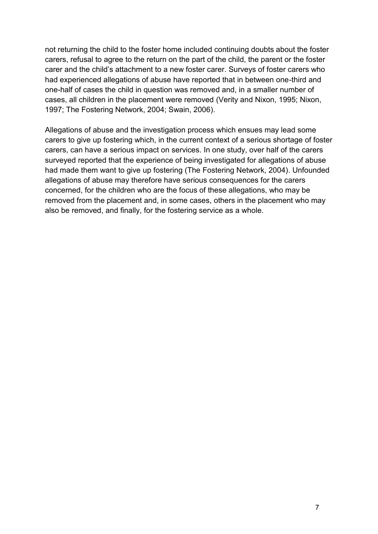not returning the child to the foster home included continuing doubts about the foster carers, refusal to agree to the return on the part of the child, the parent or the foster carer and the child's attachment to a new foster carer. Surveys of foster carers who had experienced allegations of abuse have reported that in between one-third and one-half of cases the child in question was removed and, in a smaller number of cases, all children in the placement were removed (Verity and Nixon, 1995; Nixon, 1997; The Fostering Network, 2004; Swain, 2006).

Allegations of abuse and the investigation process which ensues may lead some carers to give up fostering which, in the current context of a serious shortage of foster carers, can have a serious impact on services. In one study, over half of the carers surveyed reported that the experience of being investigated for allegations of abuse had made them want to give up fostering (The Fostering Network, 2004). Unfounded allegations of abuse may therefore have serious consequences for the carers concerned, for the children who are the focus of these allegations, who may be removed from the placement and, in some cases, others in the placement who may also be removed, and finally, for the fostering service as a whole.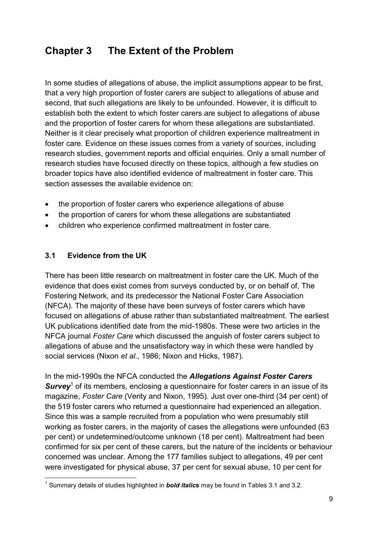# **Chapter 3 The Extent of the Problem**

In some studies of allegations of abuse, the implicit assumptions appear to be first, that a very high proportion of foster carers are subject to allegations of abuse and second, that such allegations are likely to be unfounded. However, it is difficult to establish both the extent to which foster carers are subject to allegations of abuse and the proportion of foster carers for whom these allegations are substantiated. Neither is it clear precisely what proportion of children experience maltreatment in foster care. Evidence on these issues comes from a variety of sources, including research studies, government reports and official enquiries. Only a small number of research studies have focused directly on these topics, although a few studies on broader topics have also identified evidence of maltreatment in foster care. This section assesses the available evidence on:

- the proportion of foster carers who experience allegations of abuse
- the proportion of carers for whom these allegations are substantiated
- children who experience confirmed maltreatment in foster care.

#### **3.1 Evidence from the UK**

There has been little research on maltreatment in foster care the UK. Much of the evidence that does exist comes from surveys conducted by, or on behalf of, The Fostering Network, and its predecessor the National Foster Care Association (NFCA). The majority of these have been surveys of foster carers which have focused on allegations of abuse rather than substantiated maltreatment. The earliest UK publications identified date from the mid-1980s. These were two articles in the NFCA journal *Foster Care* which discussed the anguish of foster carers subject to allegations of abuse and the unsatisfactory way in which these were handled by social services (Nixon *et al.*, 1986; Nixon and Hicks, 1987).

In the mid-1990s the NFCA conducted the *Allegations Against Foster Carers* Survey<sup>1</sup> of its members, enclosing a questionnaire for foster carers in an issue of its magazine, *Foster Care* (Verity and Nixon, 1995). Just over one-third (34 per cent) of the 519 foster carers who returned a questionnaire had experienced an allegation. Since this was a sample recruited from a population who were presumably still working as foster carers, in the majority of cases the allegations were unfounded (63 per cent) or undetermined/outcome unknown (18 per cent). Maltreatment had been confirmed for six per cent of these carers, but the nature of the incidents or behaviour concerned was unclear. Among the 177 families subject to allegations, 49 per cent were investigated for physical abuse, 37 per cent for sexual abuse, 10 per cent for

 $\overline{a}$ 1 Summary details of studies highlighted in *bold italic***s** may be found in Tables 3.1 and 3.2.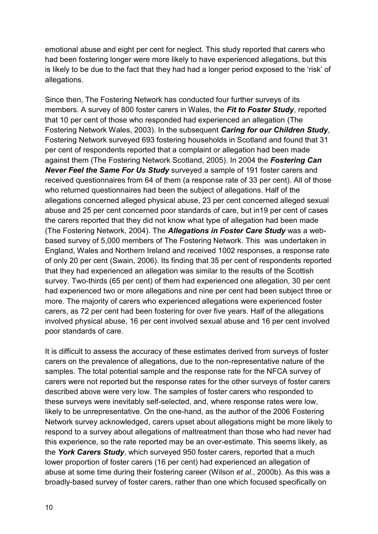emotional abuse and eight per cent for neglect. This study reported that carers who had been fostering longer were more likely to have experienced allegations, but this is likely to be due to the fact that they had had a longer period exposed to the 'risk' of allegations.

Since then, The Fostering Network has conducted four further surveys of its members. A survey of 800 foster carers in Wales, the *Fit to Foster Study*, reported that 10 per cent of those who responded had experienced an allegation (The Fostering Network Wales, 2003). In the subsequent *Caring for our Children Study*, Fostering Network surveyed 693 fostering households in Scotland and found that 31 per cent of respondents reported that a complaint or allegation had been made against them (The Fostering Network Scotland, 2005). In 2004 the *Fostering Can Never Feel the Same For Us Study* surveyed a sample of 191 foster carers and received questionnaires from 64 of them (a response rate of 33 per cent). All of those who returned questionnaires had been the subject of allegations. Half of the allegations concerned alleged physical abuse, 23 per cent concerned alleged sexual abuse and 25 per cent concerned poor standards of care, but in19 per cent of cases the carers reported that they did not know what type of allegation had been made (The Fostering Network, 2004). The *Allegations in Foster Care Study* was a webbased survey of 5,000 members of The Fostering Network. This was undertaken in England, Wales and Northern Ireland and received 1002 responses, a response rate of only 20 per cent (Swain, 2006). Its finding that 35 per cent of respondents reported that they had experienced an allegation was similar to the results of the Scottish survey. Two-thirds (65 per cent) of them had experienced one allegation, 30 per cent had experienced two or more allegations and nine per cent had been subject three or more. The majority of carers who experienced allegations were experienced foster carers, as 72 per cent had been fostering for over five years. Half of the allegations involved physical abuse, 16 per cent involved sexual abuse and 16 per cent involved poor standards of care.

It is difficult to assess the accuracy of these estimates derived from surveys of foster carers on the prevalence of allegations, due to the non-representative nature of the samples. The total potential sample and the response rate for the NFCA survey of carers were not reported but the response rates for the other surveys of foster carers described above were very low. The samples of foster carers who responded to these surveys were inevitably self-selected, and, where response rates were low, likely to be unrepresentative. On the one-hand, as the author of the 2006 Fostering Network survey acknowledged, carers upset about allegations might be more likely to respond to a survey about allegations of maltreatment than those who had never had this experience, so the rate reported may be an over-estimate. This seems likely, as the *York Carers Study*, which surveyed 950 foster carers, reported that a much lower proportion of foster carers (16 per cent) had experienced an allegation of abuse at some time during their fostering career (Wilson *et al.*, 2000b). As this was a broadly-based survey of foster carers, rather than one which focused specifically on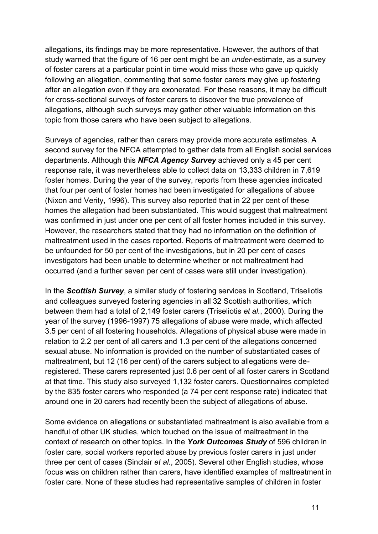allegations, its findings may be more representative. However, the authors of that study warned that the figure of 16 per cent might be an *under*-estimate, as a survey of foster carers at a particular point in time would miss those who gave up quickly following an allegation, commenting that some foster carers may give up fostering after an allegation even if they are exonerated. For these reasons, it may be difficult for cross-sectional surveys of foster carers to discover the true prevalence of allegations, although such surveys may gather other valuable information on this topic from those carers who have been subject to allegations.

Surveys of agencies, rather than carers may provide more accurate estimates. A second survey for the NFCA attempted to gather data from all English social services departments. Although this *NFCA Agency Survey* achieved only a 45 per cent response rate, it was nevertheless able to collect data on 13,333 children in 7,619 foster homes. During the year of the survey, reports from these agencies indicated that four per cent of foster homes had been investigated for allegations of abuse (Nixon and Verity, 1996). This survey also reported that in 22 per cent of these homes the allegation had been substantiated. This would suggest that maltreatment was confirmed in just under one per cent of all foster homes included in this survey. However, the researchers stated that they had no information on the definition of maltreatment used in the cases reported. Reports of maltreatment were deemed to be unfounded for 50 per cent of the investigations, but in 20 per cent of cases investigators had been unable to determine whether or not maltreatment had occurred (and a further seven per cent of cases were still under investigation).

In the *Scottish Survey*, a similar study of fostering services in Scotland, Triseliotis and colleagues surveyed fostering agencies in all 32 Scottish authorities, which between them had a total of 2,149 foster carers (Triseliotis *et al.*, 2000). During the year of the survey (1996-1997) 75 allegations of abuse were made, which affected 3.5 per cent of all fostering households. Allegations of physical abuse were made in relation to 2.2 per cent of all carers and 1.3 per cent of the allegations concerned sexual abuse. No information is provided on the number of substantiated cases of maltreatment, but 12 (16 per cent) of the carers subject to allegations were deregistered. These carers represented just 0.6 per cent of all foster carers in Scotland at that time. This study also surveyed 1,132 foster carers. Questionnaires completed by the 835 foster carers who responded (a 74 per cent response rate) indicated that around one in 20 carers had recently been the subject of allegations of abuse.

Some evidence on allegations or substantiated maltreatment is also available from a handful of other UK studies, which touched on the issue of maltreatment in the context of research on other topics. In the *York Outcomes Study* of 596 children in foster care, social workers reported abuse by previous foster carers in just under three per cent of cases (Sinclair *et al.*, 2005). Several other English studies, whose focus was on children rather than carers, have identified examples of maltreatment in foster care. None of these studies had representative samples of children in foster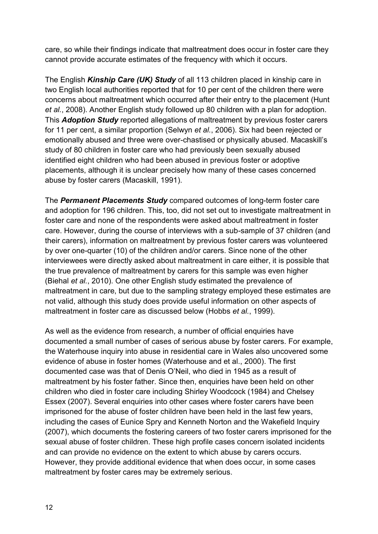care, so while their findings indicate that maltreatment does occur in foster care they cannot provide accurate estimates of the frequency with which it occurs.

The English *Kinship Care (UK) Study* of all 113 children placed in kinship care in two English local authorities reported that for 10 per cent of the children there were concerns about maltreatment which occurred after their entry to the placement (Hunt *et al.*, 2008). Another English study followed up 80 children with a plan for adoption. This *Adoption Study* reported allegations of maltreatment by previous foster carers for 11 per cent, a similar proportion (Selwyn *et al.*, 2006). Six had been rejected or emotionally abused and three were over-chastised or physically abused. Macaskill's study of 80 children in foster care who had previously been sexually abused identified eight children who had been abused in previous foster or adoptive placements, although it is unclear precisely how many of these cases concerned abuse by foster carers (Macaskill, 1991).

The *Permanent Placements Study* compared outcomes of long-term foster care and adoption for 196 children. This, too, did not set out to investigate maltreatment in foster care and none of the respondents were asked about maltreatment in foster care. However, during the course of interviews with a sub-sample of 37 children (and their carers), information on maltreatment by previous foster carers was volunteered by over one-quarter (10) of the children and/or carers. Since none of the other interviewees were directly asked about maltreatment in care either, it is possible that the true prevalence of maltreatment by carers for this sample was even higher (Biehal *et al.*, 2010). One other English study estimated the prevalence of maltreatment in care, but due to the sampling strategy employed these estimates are not valid, although this study does provide useful information on other aspects of maltreatment in foster care as discussed below (Hobbs *et al.*, 1999).

As well as the evidence from research, a number of official enquiries have documented a small number of cases of serious abuse by foster carers. For example, the Waterhouse inquiry into abuse in residential care in Wales also uncovered some evidence of abuse in foster homes (Waterhouse and et al., 2000). The first documented case was that of Denis O'Neil, who died in 1945 as a result of maltreatment by his foster father. Since then, enquiries have been held on other children who died in foster care including Shirley Woodcock (1984) and Chelsey Essex (2007). Several enquiries into other cases where foster carers have been imprisoned for the abuse of foster children have been held in the last few years, including the cases of Eunice Spry and Kenneth Norton and the Wakefield Inquiry (2007), which documents the fostering careers of two foster carers imprisoned for the sexual abuse of foster children. These high profile cases concern isolated incidents and can provide no evidence on the extent to which abuse by carers occurs. However, they provide additional evidence that when does occur, in some cases maltreatment by foster cares may be extremely serious.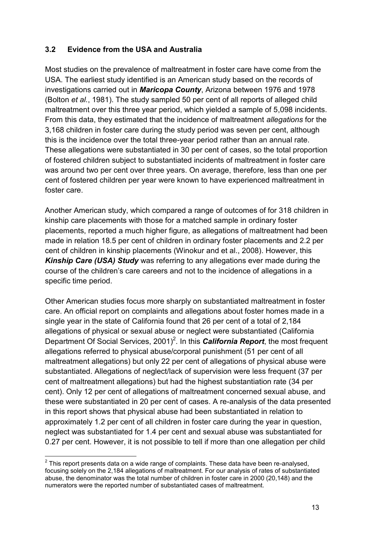#### **3.2 Evidence from the USA and Australia**

Most studies on the prevalence of maltreatment in foster care have come from the USA. The earliest study identified is an American study based on the records of investigations carried out in *Maricopa County*, Arizona between 1976 and 1978 (Bolton *et al.*, 1981). The study sampled 50 per cent of all reports of alleged child maltreatment over this three year period, which yielded a sample of 5,098 incidents. From this data, they estimated that the incidence of maltreatment *allegations* for the 3,168 children in foster care during the study period was seven per cent, although this is the incidence over the total three-year period rather than an annual rate. These allegations were substantiated in 30 per cent of cases, so the total proportion of fostered children subject to substantiated incidents of maltreatment in foster care was around two per cent over three years. On average, therefore, less than one per cent of fostered children per year were known to have experienced maltreatment in foster care.

Another American study, which compared a range of outcomes of for 318 children in kinship care placements with those for a matched sample in ordinary foster placements, reported a much higher figure, as allegations of maltreatment had been made in relation 18.5 per cent of children in ordinary foster placements and 2.2 per cent of children in kinship placements (Winokur and et al., 2008). However, this *Kinship Care (USA) Study* was referring to any allegations ever made during the course of the children's care careers and not to the incidence of allegations in a specific time period.

Other American studies focus more sharply on substantiated maltreatment in foster care. An official report on complaints and allegations about foster homes made in a single year in the state of California found that 26 per cent of a total of 2,184 allegations of physical or sexual abuse or neglect were substantiated (California Department Of Social Services, 2001)<sup>2</sup>. In this *California Report*, the most frequent allegations referred to physical abuse/corporal punishment (51 per cent of all maltreatment allegations) but only 22 per cent of allegations of physical abuse were substantiated. Allegations of neglect/lack of supervision were less frequent (37 per cent of maltreatment allegations) but had the highest substantiation rate (34 per cent). Only 12 per cent of allegations of maltreatment concerned sexual abuse, and these were substantiated in 20 per cent of cases. A re-analysis of the data presented in this report shows that physical abuse had been substantiated in relation to approximately 1.2 per cent of all children in foster care during the year in question, neglect was substantiated for 1.4 per cent and sexual abuse was substantiated for 0.27 per cent. However, it is not possible to tell if more than one allegation per child

 $\overline{a}$ 

 $2$  This report presents data on a wide range of complaints. These data have been re-analysed, focusing solely on the 2,184 allegations of maltreatment. For our analysis of rates of substantiated abuse, the denominator was the total number of children in foster care in 2000 (20,148) and the numerators were the reported number of substantiated cases of maltreatment.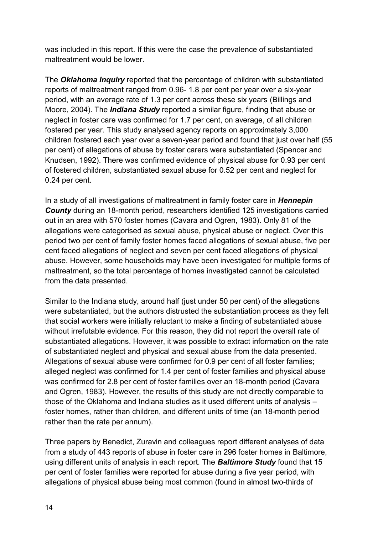was included in this report. If this were the case the prevalence of substantiated maltreatment would be lower.

The *Oklahoma Inquiry* reported that the percentage of children with substantiated reports of maltreatment ranged from 0.96- 1.8 per cent per year over a six-year period, with an average rate of 1.3 per cent across these six years (Billings and Moore, 2004). The *Indiana Study* reported a similar figure, finding that abuse or neglect in foster care was confirmed for 1.7 per cent, on average, of all children fostered per year. This study analysed agency reports on approximately 3,000 children fostered each year over a seven-year period and found that just over half (55 per cent) of allegations of abuse by foster carers were substantiated (Spencer and Knudsen, 1992). There was confirmed evidence of physical abuse for 0.93 per cent of fostered children, substantiated sexual abuse for 0.52 per cent and neglect for 0.24 per cent.

In a study of all investigations of maltreatment in family foster care in *Hennepin County* during an 18-month period, researchers identified 125 investigations carried out in an area with 570 foster homes (Cavara and Ogren, 1983). Only 81 of the allegations were categorised as sexual abuse, physical abuse or neglect. Over this period two per cent of family foster homes faced allegations of sexual abuse, five per cent faced allegations of neglect and seven per cent faced allegations of physical abuse. However, some households may have been investigated for multiple forms of maltreatment, so the total percentage of homes investigated cannot be calculated from the data presented.

Similar to the Indiana study, around half (just under 50 per cent) of the allegations were substantiated, but the authors distrusted the substantiation process as they felt that social workers were initially reluctant to make a finding of substantiated abuse without irrefutable evidence. For this reason, they did not report the overall rate of substantiated allegations. However, it was possible to extract information on the rate of substantiated neglect and physical and sexual abuse from the data presented. Allegations of sexual abuse were confirmed for 0.9 per cent of all foster families; alleged neglect was confirmed for 1.4 per cent of foster families and physical abuse was confirmed for 2.8 per cent of foster families over an 18-month period (Cavara and Ogren, 1983). However, the results of this study are not directly comparable to those of the Oklahoma and Indiana studies as it used different units of analysis – foster homes, rather than children, and different units of time (an 18-month period rather than the rate per annum).

Three papers by Benedict, Zuravin and colleagues report different analyses of data from a study of 443 reports of abuse in foster care in 296 foster homes in Baltimore, using different units of analysis in each report. The *Baltimore Study* found that 15 per cent of foster families were reported for abuse during a five year period, with allegations of physical abuse being most common (found in almost two-thirds of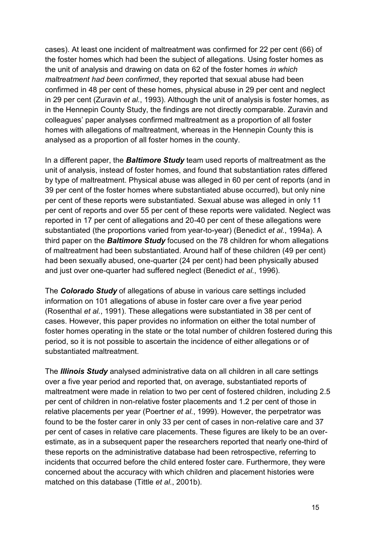cases). At least one incident of maltreatment was confirmed for 22 per cent (66) of the foster homes which had been the subject of allegations. Using foster homes as the unit of analysis and drawing on data on 62 of the foster homes *in which maltreatment had been confirmed*, they reported that sexual abuse had been confirmed in 48 per cent of these homes, physical abuse in 29 per cent and neglect in 29 per cent (Zuravin *et al.*, 1993). Although the unit of analysis is foster homes, as in the Hennepin County Study, the findings are not directly comparable. Zuravin and colleagues' paper analyses confirmed maltreatment as a proportion of all foster homes with allegations of maltreatment, whereas in the Hennepin County this is analysed as a proportion of all foster homes in the county.

In a different paper, the *Baltimore Study* team used reports of maltreatment as the unit of analysis, instead of foster homes, and found that substantiation rates differed by type of maltreatment. Physical abuse was alleged in 60 per cent of reports (and in 39 per cent of the foster homes where substantiated abuse occurred), but only nine per cent of these reports were substantiated. Sexual abuse was alleged in only 11 per cent of reports and over 55 per cent of these reports were validated. Neglect was reported in 17 per cent of allegations and 20-40 per cent of these allegations were substantiated (the proportions varied from year-to-year) (Benedict *et al.*, 1994a). A third paper on the *Baltimore Study* focused on the 78 children for whom allegations of maltreatment had been substantiated. Around half of these children (49 per cent) had been sexually abused, one-quarter (24 per cent) had been physically abused and just over one-quarter had suffered neglect (Benedict *et al.*, 1996).

The *Colorado Study* of allegations of abuse in various care settings included information on 101 allegations of abuse in foster care over a five year period (Rosenthal *et al.*, 1991). These allegations were substantiated in 38 per cent of cases. However, this paper provides no information on either the total number of foster homes operating in the state or the total number of children fostered during this period, so it is not possible to ascertain the incidence of either allegations or of substantiated maltreatment.

The *Illinois Study* analysed administrative data on all children in all care settings over a five year period and reported that, on average, substantiated reports of maltreatment were made in relation to two per cent of fostered children, including 2.5 per cent of children in non-relative foster placements and 1.2 per cent of those in relative placements per year (Poertner *et al.*, 1999). However, the perpetrator was found to be the foster carer in only 33 per cent of cases in non-relative care and 37 per cent of cases in relative care placements. These figures are likely to be an overestimate, as in a subsequent paper the researchers reported that nearly one-third of these reports on the administrative database had been retrospective, referring to incidents that occurred before the child entered foster care. Furthermore, they were concerned about the accuracy with which children and placement histories were matched on this database (Tittle *et al.*, 2001b).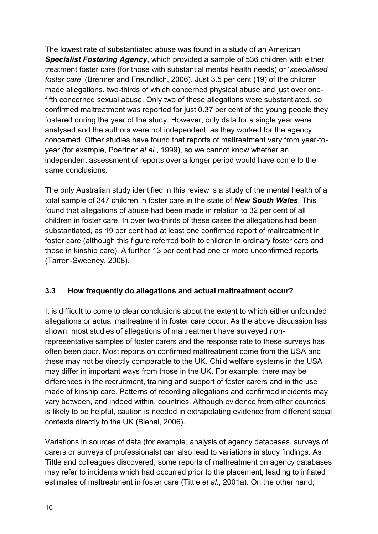The lowest rate of substantiated abuse was found in a study of an American *Specialist Fostering Agency*, which provided a sample of 536 children with either treatment foster care (for those with substantial mental health needs) or '*specialised foster care*' (Brenner and Freundlich, 2006). Just 3.5 per cent (19) of the children made allegations, two-thirds of which concerned physical abuse and just over onefifth concerned sexual abuse. Only two of these allegations were substantiated, so confirmed maltreatment was reported for just 0.37 per cent of the young people they fostered during the year of the study. However, only data for a single year were analysed and the authors were not independent, as they worked for the agency concerned. Other studies have found that reports of maltreatment vary from year-toyear (for example, Poertner *et al.*, 1999), so we cannot know whether an independent assessment of reports over a longer period would have come to the same conclusions.

The only Australian study identified in this review is a study of the mental health of a total sample of 347 children in foster care in the state of *New South Wales*. This found that allegations of abuse had been made in relation to 32 per cent of all children in foster care. In over two-thirds of these cases the allegations had been substantiated, as 19 per cent had at least one confirmed report of maltreatment in foster care (although this figure referred both to children in ordinary foster care and those in kinship care). A further 13 per cent had one or more unconfirmed reports (Tarren-Sweeney, 2008).

#### **3.3 How frequently do allegations and actual maltreatment occur?**

It is difficult to come to clear conclusions about the extent to which either unfounded allegations or actual maltreatment in foster care occur. As the above discussion has shown, most studies of allegations of maltreatment have surveyed nonrepresentative samples of foster carers and the response rate to these surveys has often been poor. Most reports on confirmed maltreatment come from the USA and these may not be directly comparable to the UK. Child welfare systems in the USA may differ in important ways from those in the UK. For example, there may be differences in the recruitment, training and support of foster carers and in the use made of kinship care. Patterns of recording allegations and confirmed incidents may vary between, and indeed within, countries. Although evidence from other countries is likely to be helpful, caution is needed in extrapolating evidence from different social contexts directly to the UK (Biehal, 2006).

Variations in sources of data (for example, analysis of agency databases, surveys of carers or surveys of professionals) can also lead to variations in study findings. As Tittle and colleagues discovered, some reports of maltreatment on agency databases may refer to incidents which had occurred prior to the placement, leading to inflated estimates of maltreatment in foster care (Tittle *et al.*, 2001a). On the other hand,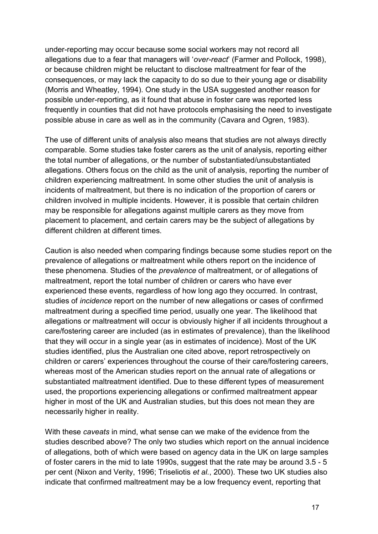under-reporting may occur because some social workers may not record all allegations due to a fear that managers will '*over-react*' (Farmer and Pollock, 1998), or because children might be reluctant to disclose maltreatment for fear of the consequences, or may lack the capacity to do so due to their young age or disability (Morris and Wheatley, 1994). One study in the USA suggested another reason for possible under-reporting, as it found that abuse in foster care was reported less frequently in counties that did not have protocols emphasising the need to investigate possible abuse in care as well as in the community (Cavara and Ogren, 1983).

The use of different units of analysis also means that studies are not always directly comparable. Some studies take foster carers as the unit of analysis, reporting either the total number of allegations, or the number of substantiated/unsubstantiated allegations. Others focus on the child as the unit of analysis, reporting the number of children experiencing maltreatment. In some other studies the unit of analysis is incidents of maltreatment, but there is no indication of the proportion of carers or children involved in multiple incidents. However, it is possible that certain children may be responsible for allegations against multiple carers as they move from placement to placement, and certain carers may be the subject of allegations by different children at different times.

Caution is also needed when comparing findings because some studies report on the prevalence of allegations or maltreatment while others report on the incidence of these phenomena. Studies of the *prevalence* of maltreatment, or of allegations of maltreatment, report the total number of children or carers who have ever experienced these events, regardless of how long ago they occurred. In contrast, studies of *incidence* report on the number of new allegations or cases of confirmed maltreatment during a specified time period, usually one year. The likelihood that allegations or maltreatment will occur is obviously higher if all incidents throughout a care/fostering career are included (as in estimates of prevalence), than the likelihood that they will occur in a single year (as in estimates of incidence). Most of the UK studies identified, plus the Australian one cited above, report retrospectively on children or carers' experiences throughout the course of their care/fostering careers, whereas most of the American studies report on the annual rate of allegations or substantiated maltreatment identified. Due to these different types of measurement used, the proportions experiencing allegations or confirmed maltreatment appear higher in most of the UK and Australian studies, but this does not mean they are necessarily higher in reality.

With these *caveats* in mind, what sense can we make of the evidence from the studies described above? The only two studies which report on the annual incidence of allegations, both of which were based on agency data in the UK on large samples of foster carers in the mid to late 1990s, suggest that the rate may be around 3.5 - 5 per cent (Nixon and Verity, 1996; Triseliotis *et al.*, 2000). These two UK studies also indicate that confirmed maltreatment may be a low frequency event, reporting that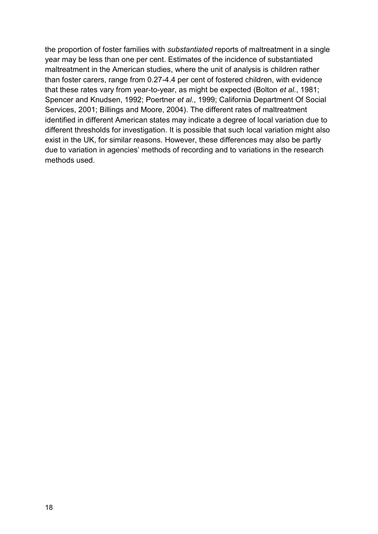the proportion of foster families with *substantiated* reports of maltreatment in a single year may be less than one per cent. Estimates of the incidence of substantiated maltreatment in the American studies, where the unit of analysis is children rather than foster carers, range from 0.27-4.4 per cent of fostered children, with evidence that these rates vary from year-to-year, as might be expected (Bolton *et al.*, 1981; Spencer and Knudsen, 1992; Poertner *et al.*, 1999; California Department Of Social Services, 2001; Billings and Moore, 2004). The different rates of maltreatment identified in different American states may indicate a degree of local variation due to different thresholds for investigation. It is possible that such local variation might also exist in the UK, for similar reasons. However, these differences may also be partly due to variation in agencies' methods of recording and to variations in the research methods used.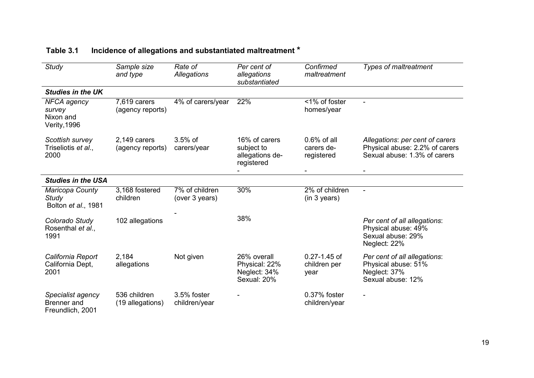| <b>Study</b>                                                     | Sample size<br>and type          | Rate of<br><b>Allegations</b>                  | Per cent of<br>allegations<br>substantiated                  | Confirmed<br>maltreatment                  | <b>Types of maltreatment</b>                                                                      |
|------------------------------------------------------------------|----------------------------------|------------------------------------------------|--------------------------------------------------------------|--------------------------------------------|---------------------------------------------------------------------------------------------------|
| <b>Studies in the UK</b>                                         |                                  |                                                |                                                              |                                            |                                                                                                   |
| <b>NFCA</b> agency<br>survey<br>Nixon and<br><b>Verity, 1996</b> | 7,619 carers<br>(agency reports) | 4% of carers/year                              | 22%                                                          | <1% of foster<br>homes/year                |                                                                                                   |
| Scottish survey<br>Triseliotis et al.,<br>2000                   | 2,149 carers<br>(agency reports) | $3.5%$ of<br>carers/year                       | 16% of carers<br>subject to<br>allegations de-<br>registered | $0.6\%$ of all<br>carers de-<br>registered | Allegations: per cent of carers<br>Physical abuse: 2.2% of carers<br>Sexual abuse: 1.3% of carers |
| <b>Studies in the USA</b>                                        |                                  |                                                | -                                                            |                                            |                                                                                                   |
| Maricopa County<br><b>Study</b><br>Bolton et al., 1981           | 3,168 fostered<br>children       | $\overline{7\%}$ of children<br>(over 3 years) | 30%                                                          | 2% of children<br>(in 3 years)             | $\blacksquare$                                                                                    |
| Colorado Study<br>Rosenthal et al.,<br>1991                      | 102 allegations                  |                                                | 38%                                                          |                                            | Per cent of all allegations:<br>Physical abuse: 49%<br>Sexual abuse: 29%<br>Neglect: 22%          |
| California Report<br>California Dept,<br>2001                    | 2,184<br>allegations             | Not given                                      | 26% overall<br>Physical: 22%<br>Neglect: 34%<br>Sexual: 20%  | $0.27 - 1.45$ of<br>children per<br>year   | Per cent of all allegations:<br>Physical abuse: 51%<br>Neglect: 37%<br>Sexual abuse: 12%          |
| Specialist agency<br><b>Brenner</b> and<br>Freundlich, 2001      | 536 children<br>(19 allegations) | 3.5% foster<br>children/year                   |                                                              | 0.37% foster<br>children/year              | $\blacksquare$                                                                                    |

## **Table 3.1 Incidence of allegations and substantiated maltreatment \***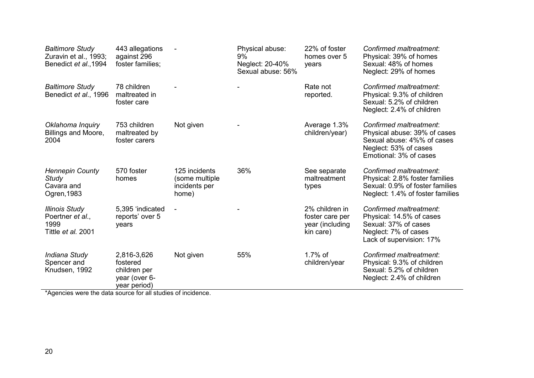| <b>Baltimore Study</b><br>Zuravin et al., 1993;<br>Benedict et al., 1994 | 443 allegations<br>against 296<br>foster families;                       |                                                           | Physical abuse:<br>9%<br>Neglect: 20-40%<br>Sexual abuse: 56% | 22% of foster<br>homes over 5<br>years                            | Confirmed maltreatment:<br>Physical: 39% of homes<br>Sexual: 48% of homes<br>Neglect: 29% of homes                                       |
|--------------------------------------------------------------------------|--------------------------------------------------------------------------|-----------------------------------------------------------|---------------------------------------------------------------|-------------------------------------------------------------------|------------------------------------------------------------------------------------------------------------------------------------------|
| <b>Baltimore Study</b><br>Benedict et al., 1996                          | 78 children<br>maltreated in<br>foster care                              |                                                           |                                                               | Rate not<br>reported.                                             | Confirmed maltreatment:<br>Physical: 9.3% of children<br>Sexual: 5.2% of children<br>Neglect: 2.4% of children                           |
| Oklahoma Inquiry<br>Billings and Moore,<br>2004                          | 753 children<br>maltreated by<br>foster carers                           | Not given                                                 |                                                               | Average 1.3%<br>children/year)                                    | Confirmed maltreatment:<br>Physical abuse: 39% of cases<br>Sexual abuse: 4%% of cases<br>Neglect: 53% of cases<br>Emotional: 3% of cases |
| <b>Hennepin County</b><br><b>Study</b><br>Cavara and<br>Ogren, 1983      | 570 foster<br>homes                                                      | 125 incidents<br>(some multiple<br>incidents per<br>home) | 36%                                                           | See separate<br>maltreatment<br>types                             | Confirmed maltreatment:<br>Physical: 2.8% foster families<br>Sexual: 0.9% of foster families<br>Neglect: 1.4% of foster families         |
| <b>Illinois Study</b><br>Poertner et al.,<br>1999<br>Tittle et al. 2001  | 5,395 'indicated<br>reports' over 5<br>years                             | $\blacksquare$                                            |                                                               | 2% children in<br>foster care per<br>year (including<br>kin care) | Confirmed maltreatment:<br>Physical: 14.5% of cases<br>Sexual: 37% of cases<br>Neglect: 7% of cases<br>Lack of supervision: 17%          |
| Indiana Study<br>Spencer and<br>Knudsen, 1992                            | 2,816-3,626<br>fostered<br>children per<br>year (over 6-<br>year period) | Not given                                                 | 55%                                                           | $1.7\%$ of<br>children/year                                       | Confirmed maltreatment:<br>Physical: 9.3% of children<br>Sexual: 5.2% of children<br>Neglect: 2.4% of children                           |

\*Agencies were the data source for all studies of incidence.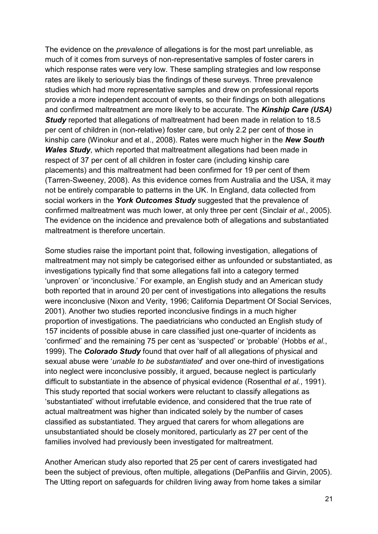The evidence on the *prevalence* of allegations is for the most part unreliable, as much of it comes from surveys of non-representative samples of foster carers in which response rates were very low. These sampling strategies and low response rates are likely to seriously bias the findings of these surveys. Three prevalence studies which had more representative samples and drew on professional reports provide a more independent account of events, so their findings on both allegations and confirmed maltreatment are more likely to be accurate. The *Kinship Care (USA) Study* reported that allegations of maltreatment had been made in relation to 18.5 per cent of children in (non-relative) foster care, but only 2.2 per cent of those in kinship care (Winokur and et al., 2008). Rates were much higher in the *New South Wales Study*, which reported that maltreatment allegations had been made in respect of 37 per cent of all children in foster care (including kinship care placements) and this maltreatment had been confirmed for 19 per cent of them (Tarren-Sweeney, 2008). As this evidence comes from Australia and the USA, it may not be entirely comparable to patterns in the UK. In England, data collected from social workers in the *York Outcomes Study* suggested that the prevalence of confirmed maltreatment was much lower, at only three per cent (Sinclair *et al.*, 2005). The evidence on the incidence and prevalence both of allegations and substantiated maltreatment is therefore uncertain.

Some studies raise the important point that, following investigation, allegations of maltreatment may not simply be categorised either as unfounded or substantiated, as investigations typically find that some allegations fall into a category termed 'unproven' or 'inconclusive.' For example, an English study and an American study both reported that in around 20 per cent of investigations into allegations the results were inconclusive (Nixon and Verity, 1996; California Department Of Social Services, 2001). Another two studies reported inconclusive findings in a much higher proportion of investigations. The paediatricians who conducted an English study of 157 incidents of possible abuse in care classified just one-quarter of incidents as 'confirmed' and the remaining 75 per cent as 'suspected' or 'probable' (Hobbs *et al.*, 1999). The *Colorado Study* found that over half of all allegations of physical and sexual abuse were '*unable to be substantiated*' and over one-third of investigations into neglect were inconclusive possibly, it argued, because neglect is particularly difficult to substantiate in the absence of physical evidence (Rosenthal *et al.*, 1991). This study reported that social workers were reluctant to classify allegations as 'substantiated' without irrefutable evidence, and considered that the true rate of actual maltreatment was higher than indicated solely by the number of cases classified as substantiated. They argued that carers for whom allegations are unsubstantiated should be closely monitored, particularly as 27 per cent of the families involved had previously been investigated for maltreatment.

Another American study also reported that 25 per cent of carers investigated had been the subject of previous, often multiple, allegations (DePanfilis and Girvin, 2005). The Utting report on safeguards for children living away from home takes a similar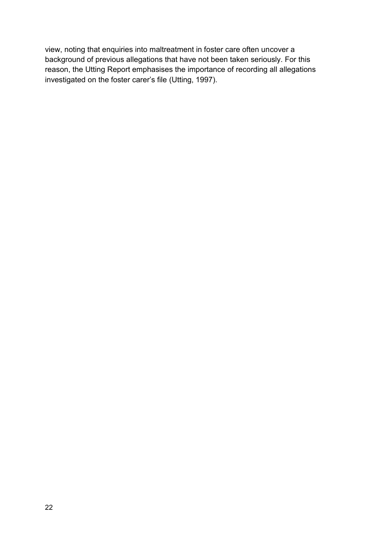view, noting that enquiries into maltreatment in foster care often uncover a background of previous allegations that have not been taken seriously. For this reason, the Utting Report emphasises the importance of recording all allegations investigated on the foster carer's file (Utting, 1997).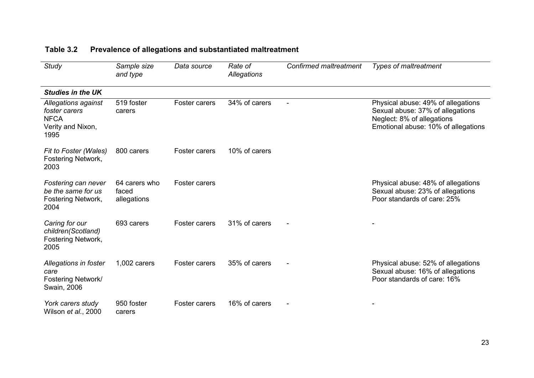| <b>Study</b>                                                                     | Sample size<br>and type               | Data source   | Rate of<br>Allegations | <b>Confirmed maltreatment</b> | <b>Types of maltreatment</b>                                                                                                                |
|----------------------------------------------------------------------------------|---------------------------------------|---------------|------------------------|-------------------------------|---------------------------------------------------------------------------------------------------------------------------------------------|
| <b>Studies in the UK</b>                                                         |                                       |               |                        |                               |                                                                                                                                             |
| Allegations against<br>foster carers<br><b>NFCA</b><br>Verity and Nixon,<br>1995 | 519 foster<br>carers                  | Foster carers | 34% of carers          |                               | Physical abuse: 49% of allegations<br>Sexual abuse: 37% of allegations<br>Neglect: 8% of allegations<br>Emotional abuse: 10% of allegations |
| Fit to Foster (Wales)<br>Fostering Network,<br>2003                              | 800 carers                            | Foster carers | 10% of carers          |                               |                                                                                                                                             |
| Fostering can never<br>be the same for us<br>Fostering Network,<br>2004          | 64 carers who<br>faced<br>allegations | Foster carers |                        |                               | Physical abuse: 48% of allegations<br>Sexual abuse: 23% of allegations<br>Poor standards of care: 25%                                       |
| Caring for our<br>children(Scotland)<br>Fostering Network,<br>2005               | 693 carers                            | Foster carers | 31% of carers          |                               |                                                                                                                                             |
| Allegations in foster<br>care<br>Fostering Network/<br>Swain, 2006               | 1,002 carers                          | Foster carers | 35% of carers          |                               | Physical abuse: 52% of allegations<br>Sexual abuse: 16% of allegations<br>Poor standards of care: 16%                                       |
| York carers study<br>Wilson et al., 2000                                         | 950 foster<br>carers                  | Foster carers | 16% of carers          |                               |                                                                                                                                             |

## **Table 3.2 Prevalence of allegations and substantiated maltreatment**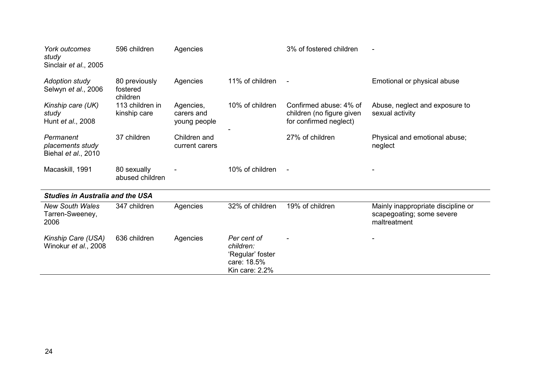| York outcomes<br>study<br>Sinclair et al., 2005      | 596 children                          | Agencies                                |                                                                               | 3% of fostered children                                                       |                                                                                 |
|------------------------------------------------------|---------------------------------------|-----------------------------------------|-------------------------------------------------------------------------------|-------------------------------------------------------------------------------|---------------------------------------------------------------------------------|
| <b>Adoption study</b><br>Selwyn et al., 2006         | 80 previously<br>fostered<br>children | Agencies                                | 11% of children                                                               | $\blacksquare$                                                                | Emotional or physical abuse                                                     |
| Kinship care (UK)<br>study<br>Hunt et al., 2008      | 113 children in<br>kinship care       | Agencies,<br>carers and<br>young people | 10% of children                                                               | Confirmed abuse: 4% of<br>children (no figure given<br>for confirmed neglect) | Abuse, neglect and exposure to<br>sexual activity                               |
| Permanent<br>placements study<br>Biehal et al., 2010 | 37 children                           | Children and<br>current carers          |                                                                               | 27% of children                                                               | Physical and emotional abuse;<br>neglect                                        |
| Macaskill, 1991                                      | 80 sexually<br>abused children        |                                         | 10% of children                                                               | $\blacksquare$                                                                |                                                                                 |
| <b>Studies in Australia and the USA</b>              |                                       |                                         |                                                                               |                                                                               |                                                                                 |
| <b>New South Wales</b><br>Tarren-Sweeney,<br>2006    | 347 children                          | Agencies                                | 32% of children                                                               | 19% of children                                                               | Mainly inappropriate discipline or<br>scapegoating; some severe<br>maltreatment |
| Kinship Care (USA)<br>Winokur et al., 2008           | 636 children                          | Agencies                                | Per cent of<br>children:<br>'Regular' foster<br>care: 18.5%<br>Kin care: 2.2% |                                                                               |                                                                                 |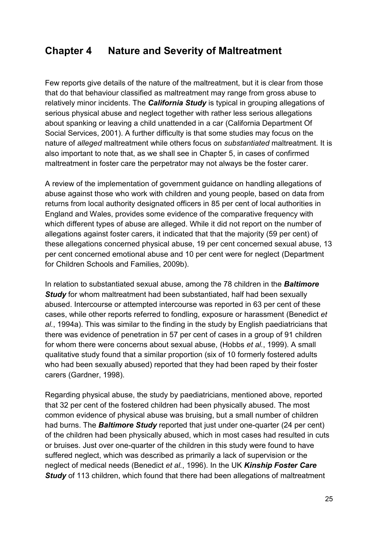### **Chapter 4 Nature and Severity of Maltreatment**

Few reports give details of the nature of the maltreatment, but it is clear from those that do that behaviour classified as maltreatment may range from gross abuse to relatively minor incidents. The *California Study* is typical in grouping allegations of serious physical abuse and neglect together with rather less serious allegations about spanking or leaving a child unattended in a car (California Department Of Social Services, 2001). A further difficulty is that some studies may focus on the nature of *alleged* maltreatment while others focus on *substantiated* maltreatment. It is also important to note that, as we shall see in Chapter 5, in cases of confirmed maltreatment in foster care the perpetrator may not always be the foster carer.

A review of the implementation of government guidance on handling allegations of abuse against those who work with children and young people, based on data from returns from local authority designated officers in 85 per cent of local authorities in England and Wales, provides some evidence of the comparative frequency with which different types of abuse are alleged. While it did not report on the number of allegations against foster carers, it indicated that that the majority (59 per cent) of these allegations concerned physical abuse, 19 per cent concerned sexual abuse, 13 per cent concerned emotional abuse and 10 per cent were for neglect (Department for Children Schools and Families, 2009b).

In relation to substantiated sexual abuse, among the 78 children in the *Baltimore Study* for whom maltreatment had been substantiated, half had been sexually abused. Intercourse or attempted intercourse was reported in 63 per cent of these cases, while other reports referred to fondling, exposure or harassment (Benedict *et al.*, 1994a). This was similar to the finding in the study by English paediatricians that there was evidence of penetration in 57 per cent of cases in a group of 91 children for whom there were concerns about sexual abuse, (Hobbs *et al.*, 1999). A small qualitative study found that a similar proportion (six of 10 formerly fostered adults who had been sexually abused) reported that they had been raped by their foster carers (Gardner, 1998).

Regarding physical abuse, the study by paediatricians, mentioned above, reported that 32 per cent of the fostered children had been physically abused. The most common evidence of physical abuse was bruising, but a small number of children had burns. The *Baltimore Study* reported that just under one-quarter (24 per cent) of the children had been physically abused, which in most cases had resulted in cuts or bruises. Just over one-quarter of the children in this study were found to have suffered neglect, which was described as primarily a lack of supervision or the neglect of medical needs (Benedict *et al.*, 1996). In the UK *Kinship Foster Care* **Study** of 113 children, which found that there had been allegations of maltreatment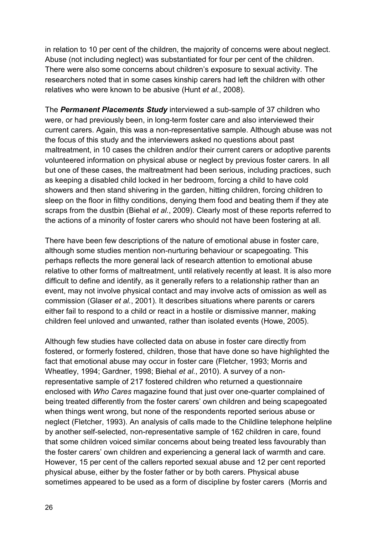in relation to 10 per cent of the children, the majority of concerns were about neglect. Abuse (not including neglect) was substantiated for four per cent of the children. There were also some concerns about children's exposure to sexual activity. The researchers noted that in some cases kinship carers had left the children with other relatives who were known to be abusive (Hunt *et al.*, 2008).

The *Permanent Placements Study* interviewed a sub-sample of 37 children who were, or had previously been, in long-term foster care and also interviewed their current carers. Again, this was a non-representative sample. Although abuse was not the focus of this study and the interviewers asked no questions about past maltreatment, in 10 cases the children and/or their current carers or adoptive parents volunteered information on physical abuse or neglect by previous foster carers. In all but one of these cases, the maltreatment had been serious, including practices, such as keeping a disabled child locked in her bedroom, forcing a child to have cold showers and then stand shivering in the garden, hitting children, forcing children to sleep on the floor in filthy conditions, denying them food and beating them if they ate scraps from the dustbin (Biehal *et al.*, 2009). Clearly most of these reports referred to the actions of a minority of foster carers who should not have been fostering at all.

There have been few descriptions of the nature of emotional abuse in foster care, although some studies mention non-nurturing behaviour or scapegoating. This perhaps reflects the more general lack of research attention to emotional abuse relative to other forms of maltreatment, until relatively recently at least. It is also more difficult to define and identify, as it generally refers to a relationship rather than an event, may not involve physical contact and may involve acts of omission as well as commission (Glaser *et al.*, 2001). It describes situations where parents or carers either fail to respond to a child or react in a hostile or dismissive manner, making children feel unloved and unwanted, rather than isolated events (Howe, 2005).

Although few studies have collected data on abuse in foster care directly from fostered, or formerly fostered, children, those that have done so have highlighted the fact that emotional abuse may occur in foster care (Fletcher, 1993; Morris and Wheatley, 1994; Gardner, 1998; Biehal *et al.*, 2010). A survey of a nonrepresentative sample of 217 fostered children who returned a questionnaire enclosed with *Who Cares* magazine found that just over one-quarter complained of being treated differently from the foster carers' own children and being scapegoated when things went wrong, but none of the respondents reported serious abuse or neglect (Fletcher, 1993). An analysis of calls made to the Childline telephone helpline by another self-selected, non-representative sample of 162 children in care, found that some children voiced similar concerns about being treated less favourably than the foster carers' own children and experiencing a general lack of warmth and care. However, 15 per cent of the callers reported sexual abuse and 12 per cent reported physical abuse, either by the foster father or by both carers. Physical abuse sometimes appeared to be used as a form of discipline by foster carers (Morris and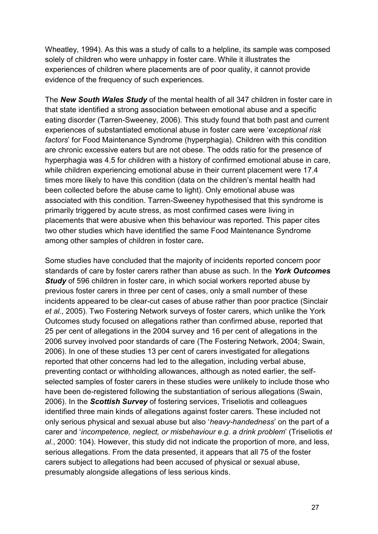Wheatley, 1994). As this was a study of calls to a helpline, its sample was composed solely of children who were unhappy in foster care. While it illustrates the experiences of children where placements are of poor quality, it cannot provide evidence of the frequency of such experiences.

The *New South Wales Study* of the mental health of all 347 children in foster care in that state identified a strong association between emotional abuse and a specific eating disorder (Tarren-Sweeney, 2006). This study found that both past and current experiences of substantiated emotional abuse in foster care were '*exceptional risk factors*' for Food Maintenance Syndrome (hyperphagia). Children with this condition are chronic excessive eaters but are not obese. The odds ratio for the presence of hyperphagia was 4.5 for children with a history of confirmed emotional abuse in care, while children experiencing emotional abuse in their current placement were 17.4 times more likely to have this condition (data on the children's mental health had been collected before the abuse came to light). Only emotional abuse was associated with this condition. Tarren-Sweeney hypothesised that this syndrome is primarily triggered by acute stress, as most confirmed cases were living in placements that were abusive when this behaviour was reported. This paper cites two other studies which have identified the same Food Maintenance Syndrome among other samples of children in foster care*.*

Some studies have concluded that the majority of incidents reported concern poor standards of care by foster carers rather than abuse as such. In the *York Outcomes*  **Study** of 596 children in foster care, in which social workers reported abuse by previous foster carers in three per cent of cases, only a small number of these incidents appeared to be clear-cut cases of abuse rather than poor practice (Sinclair *et al.*, 2005). Two Fostering Network surveys of foster carers, which unlike the York Outcomes study focused on allegations rather than confirmed abuse, reported that 25 per cent of allegations in the 2004 survey and 16 per cent of allegations in the 2006 survey involved poor standards of care (The Fostering Network, 2004; Swain, 2006). In one of these studies 13 per cent of carers investigated for allegations reported that other concerns had led to the allegation, including verbal abuse, preventing contact or withholding allowances, although as noted earlier, the selfselected samples of foster carers in these studies were unlikely to include those who have been de-registered following the substantiation of serious allegations (Swain, 2006). In the *Scottish Survey* of fostering services, Triseliotis and colleagues identified three main kinds of allegations against foster carers. These included not only serious physical and sexual abuse but also '*heavy-handedness*' on the part of a carer and '*incompetence, neglect, or misbehaviour e.g. a drink problem*' (Triseliotis *et al.*, 2000: 104). However, this study did not indicate the proportion of more, and less, serious allegations. From the data presented, it appears that all 75 of the foster carers subject to allegations had been accused of physical or sexual abuse, presumably alongside allegations of less serious kinds.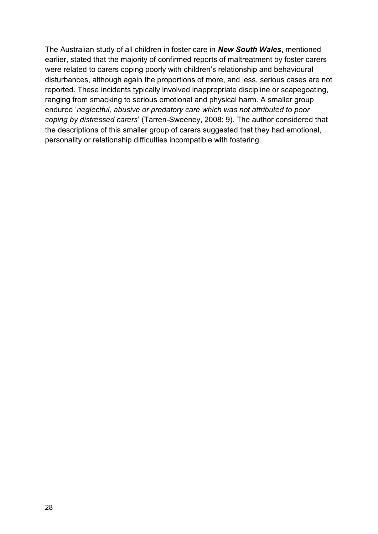The Australian study of all children in foster care in *New South Wales*, mentioned earlier, stated that the majority of confirmed reports of maltreatment by foster carers were related to carers coping poorly with children's relationship and behavioural disturbances, although again the proportions of more, and less, serious cases are not reported. These incidents typically involved inappropriate discipline or scapegoating, ranging from smacking to serious emotional and physical harm. A smaller group endured '*neglectful, abusive or predatory care which was not attributed to poor coping by distressed carers*' (Tarren-Sweeney, 2008: 9). The author considered that the descriptions of this smaller group of carers suggested that they had emotional, personality or relationship difficulties incompatible with fostering.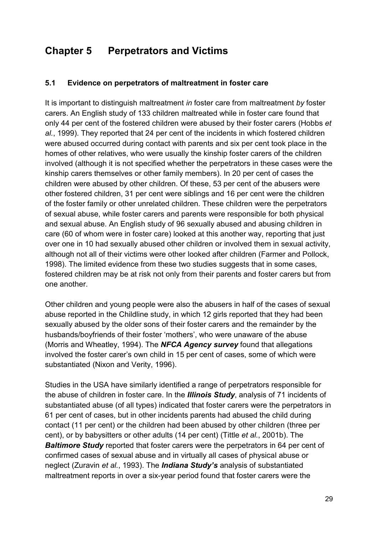# **Chapter 5 Perpetrators and Victims**

#### **5.1 Evidence on perpetrators of maltreatment in foster care**

It is important to distinguish maltreatment *in* foster care from maltreatment *by* foster carers. An English study of 133 children maltreated while in foster care found that only 44 per cent of the fostered children were abused by their foster carers (Hobbs *et al.*, 1999). They reported that 24 per cent of the incidents in which fostered children were abused occurred during contact with parents and six per cent took place in the homes of other relatives, who were usually the kinship foster carers of the children involved (although it is not specified whether the perpetrators in these cases were the kinship carers themselves or other family members). In 20 per cent of cases the children were abused by other children. Of these, 53 per cent of the abusers were other fostered children, 31 per cent were siblings and 16 per cent were the children of the foster family or other unrelated children. These children were the perpetrators of sexual abuse, while foster carers and parents were responsible for both physical and sexual abuse. An English study of 96 sexually abused and abusing children in care (60 of whom were in foster care) looked at this another way, reporting that just over one in 10 had sexually abused other children or involved them in sexual activity, although not all of their victims were other looked after children (Farmer and Pollock, 1998). The limited evidence from these two studies suggests that in some cases, fostered children may be at risk not only from their parents and foster carers but from one another.

Other children and young people were also the abusers in half of the cases of sexual abuse reported in the Childline study, in which 12 girls reported that they had been sexually abused by the older sons of their foster carers and the remainder by the husbands/boyfriends of their foster 'mothers', who were unaware of the abuse (Morris and Wheatley, 1994). The *NFCA Agency survey* found that allegations involved the foster carer's own child in 15 per cent of cases, some of which were substantiated (Nixon and Verity, 1996).

Studies in the USA have similarly identified a range of perpetrators responsible for the abuse of children in foster care. In the *Illinois Study*, analysis of 71 incidents of substantiated abuse (of all types) indicated that foster carers were the perpetrators in 61 per cent of cases, but in other incidents parents had abused the child during contact (11 per cent) or the children had been abused by other children (three per cent), or by babysitters or other adults (14 per cent) (Tittle *et al.*, 2001b). The *Baltimore Study* reported that foster carers were the perpetrators in 64 per cent of confirmed cases of sexual abuse and in virtually all cases of physical abuse or neglect (Zuravin *et al.*, 1993). The *Indiana Study's* analysis of substantiated maltreatment reports in over a six-year period found that foster carers were the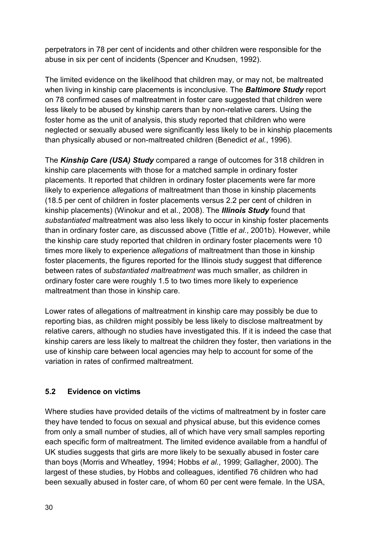perpetrators in 78 per cent of incidents and other children were responsible for the abuse in six per cent of incidents (Spencer and Knudsen, 1992).

The limited evidence on the likelihood that children may, or may not, be maltreated when living in kinship care placements is inconclusive. The *Baltimore Study* report on 78 confirmed cases of maltreatment in foster care suggested that children were less likely to be abused by kinship carers than by non-relative carers. Using the foster home as the unit of analysis, this study reported that children who were neglected or sexually abused were significantly less likely to be in kinship placements than physically abused or non-maltreated children (Benedict *et al.*, 1996).

The *Kinship Care (USA) Study* compared a range of outcomes for 318 children in kinship care placements with those for a matched sample in ordinary foster placements. It reported that children in ordinary foster placements were far more likely to experience *allegations* of maltreatment than those in kinship placements (18.5 per cent of children in foster placements versus 2.2 per cent of children in kinship placements) (Winokur and et al., 2008). The *Illinois Study* found that *substantiated* maltreatment was also less likely to occur in kinship foster placements than in ordinary foster care, as discussed above (Tittle *et al.*, 2001b). However, while the kinship care study reported that children in ordinary foster placements were 10 times more likely to experience *allegations* of maltreatment than those in kinship foster placements, the figures reported for the Illinois study suggest that difference between rates of *substantiated maltreatment* was much smaller, as children in ordinary foster care were roughly 1.5 to two times more likely to experience maltreatment than those in kinship care.

Lower rates of allegations of maltreatment in kinship care may possibly be due to reporting bias, as children might possibly be less likely to disclose maltreatment by relative carers, although no studies have investigated this. If it is indeed the case that kinship carers are less likely to maltreat the children they foster, then variations in the use of kinship care between local agencies may help to account for some of the variation in rates of confirmed maltreatment.

#### **5.2 Evidence on victims**

Where studies have provided details of the victims of maltreatment by in foster care they have tended to focus on sexual and physical abuse, but this evidence comes from only a small number of studies, all of which have very small samples reporting each specific form of maltreatment. The limited evidence available from a handful of UK studies suggests that girls are more likely to be sexually abused in foster care than boys (Morris and Wheatley, 1994; Hobbs *et al.*, 1999; Gallagher, 2000). The largest of these studies, by Hobbs and colleagues, identified 76 children who had been sexually abused in foster care, of whom 60 per cent were female. In the USA,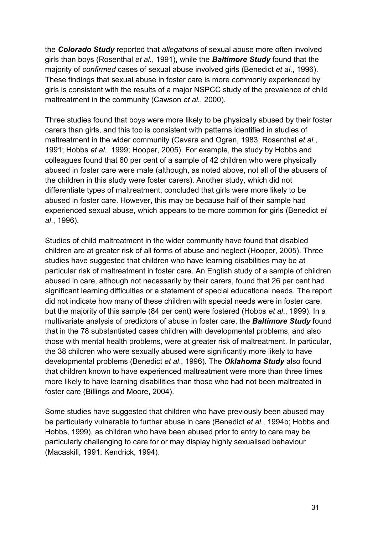the *Colorado Study* reported that *allegations* of sexual abuse more often involved girls than boys (Rosenthal *et al.*, 1991), while the *Baltimore Study* found that the majority of *confirmed* cases of sexual abuse involved girls (Benedict *et al.*, 1996). These findings that sexual abuse in foster care is more commonly experienced by girls is consistent with the results of a major NSPCC study of the prevalence of child maltreatment in the community (Cawson *et al.*, 2000).

Three studies found that boys were more likely to be physically abused by their foster carers than girls, and this too is consistent with patterns identified in studies of maltreatment in the wider community (Cavara and Ogren, 1983; Rosenthal *et al.*, 1991; Hobbs *et al.*, 1999; Hooper, 2005). For example, the study by Hobbs and colleagues found that 60 per cent of a sample of 42 children who were physically abused in foster care were male (although, as noted above, not all of the abusers of the children in this study were foster carers). Another study, which did not differentiate types of maltreatment, concluded that girls were more likely to be abused in foster care. However, this may be because half of their sample had experienced sexual abuse, which appears to be more common for girls (Benedict *et al*., 1996).

Studies of child maltreatment in the wider community have found that disabled children are at greater risk of all forms of abuse and neglect (Hooper, 2005). Three studies have suggested that children who have learning disabilities may be at particular risk of maltreatment in foster care. An English study of a sample of children abused in care, although not necessarily by their carers, found that 26 per cent had significant learning difficulties or a statement of special educational needs. The report did not indicate how many of these children with special needs were in foster care, but the majority of this sample (84 per cent) were fostered (Hobbs *et al*., 1999). In a multivariate analysis of predictors of abuse in foster care, the *Baltimore Study* found that in the 78 substantiated cases children with developmental problems, and also those with mental health problems, were at greater risk of maltreatment. In particular, the 38 children who were sexually abused were significantly more likely to have developmental problems (Benedict *et al*., 1996). The *Oklahoma Study* also found that children known to have experienced maltreatment were more than three times more likely to have learning disabilities than those who had not been maltreated in foster care (Billings and Moore, 2004).

Some studies have suggested that children who have previously been abused may be particularly vulnerable to further abuse in care (Benedict *et al.*, 1994b; Hobbs and Hobbs, 1999), as children who have been abused prior to entry to care may be particularly challenging to care for or may display highly sexualised behaviour (Macaskill, 1991; Kendrick, 1994).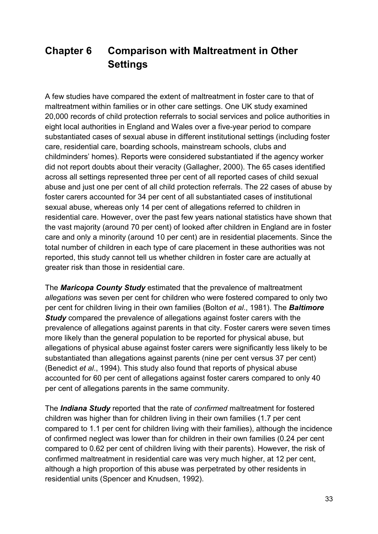# **Chapter 6 Comparison with Maltreatment in Other Settings**

A few studies have compared the extent of maltreatment in foster care to that of maltreatment within families or in other care settings. One UK study examined 20,000 records of child protection referrals to social services and police authorities in eight local authorities in England and Wales over a five-year period to compare substantiated cases of sexual abuse in different institutional settings (including foster care, residential care, boarding schools, mainstream schools, clubs and childminders' homes). Reports were considered substantiated if the agency worker did not report doubts about their veracity (Gallagher, 2000). The 65 cases identified across all settings represented three per cent of all reported cases of child sexual abuse and just one per cent of all child protection referrals. The 22 cases of abuse by foster carers accounted for 34 per cent of all substantiated cases of institutional sexual abuse, whereas only 14 per cent of allegations referred to children in residential care. However, over the past few years national statistics have shown that the vast majority (around 70 per cent) of looked after children in England are in foster care and only a minority (around 10 per cent) are in residential placements. Since the total number of children in each type of care placement in these authorities was not reported, this study cannot tell us whether children in foster care are actually at greater risk than those in residential care.

The *Maricopa County Study* estimated that the prevalence of maltreatment *allegations* was seven per cent for children who were fostered compared to only two per cent for children living in their own families (Bolton *et al*., 1981). The *Baltimore Study* compared the prevalence of allegations against foster carers with the prevalence of allegations against parents in that city. Foster carers were seven times more likely than the general population to be reported for physical abuse, but allegations of physical abuse against foster carers were significantly less likely to be substantiated than allegations against parents (nine per cent versus 37 per cent) (Benedict *et al*., 1994). This study also found that reports of physical abuse accounted for 60 per cent of allegations against foster carers compared to only 40 per cent of allegations parents in the same community.

The *Indiana Study* reported that the rate of *confirmed* maltreatment for fostered children was higher than for children living in their own families (1.7 per cent compared to 1.1 per cent for children living with their families), although the incidence of confirmed neglect was lower than for children in their own families (0.24 per cent compared to 0.62 per cent of children living with their parents). However, the risk of confirmed maltreatment in residential care was very much higher, at 12 per cent, although a high proportion of this abuse was perpetrated by other residents in residential units (Spencer and Knudsen, 1992).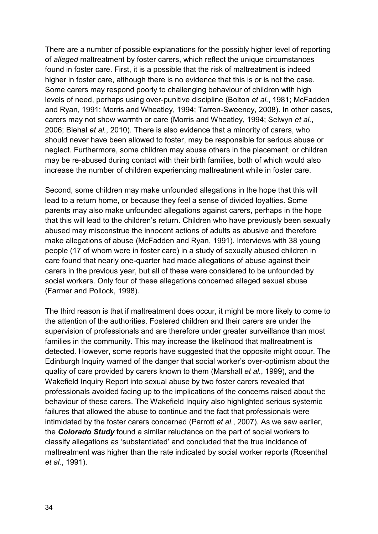There are a number of possible explanations for the possibly higher level of reporting of *alleged* maltreatment by foster carers, which reflect the unique circumstances found in foster care. First, it is a possible that the risk of maltreatment is indeed higher in foster care, although there is no evidence that this is or is not the case. Some carers may respond poorly to challenging behaviour of children with high levels of need, perhaps using over-punitive discipline (Bolton *et al.*, 1981; McFadden and Ryan, 1991; Morris and Wheatley, 1994; Tarren-Sweeney, 2008). In other cases, carers may not show warmth or care (Morris and Wheatley, 1994; Selwyn *et al.*, 2006; Biehal *et al.*, 2010). There is also evidence that a minority of carers, who should never have been allowed to foster, may be responsible for serious abuse or neglect. Furthermore, some children may abuse others in the placement, or children may be re-abused during contact with their birth families, both of which would also increase the number of children experiencing maltreatment while in foster care.

Second, some children may make unfounded allegations in the hope that this will lead to a return home, or because they feel a sense of divided loyalties. Some parents may also make unfounded allegations against carers, perhaps in the hope that this will lead to the children's return. Children who have previously been sexually abused may misconstrue the innocent actions of adults as abusive and therefore make allegations of abuse (McFadden and Ryan, 1991). Interviews with 38 young people (17 of whom were in foster care) in a study of sexually abused children in care found that nearly one-quarter had made allegations of abuse against their carers in the previous year, but all of these were considered to be unfounded by social workers. Only four of these allegations concerned alleged sexual abuse (Farmer and Pollock, 1998).

The third reason is that if maltreatment does occur, it might be more likely to come to the attention of the authorities. Fostered children and their carers are under the supervision of professionals and are therefore under greater surveillance than most families in the community. This may increase the likelihood that maltreatment is detected. However, some reports have suggested that the opposite might occur. The Edinburgh Inquiry warned of the danger that social worker's over-optimism about the quality of care provided by carers known to them (Marshall *et al.*, 1999), and the Wakefield Inquiry Report into sexual abuse by two foster carers revealed that professionals avoided facing up to the implications of the concerns raised about the behaviour of these carers. The Wakefield Inquiry also highlighted serious systemic failures that allowed the abuse to continue and the fact that professionals were intimidated by the foster carers concerned (Parrott *et al.*, 2007). As we saw earlier, the *Colorado Study* found a similar reluctance on the part of social workers to classify allegations as 'substantiated' and concluded that the true incidence of maltreatment was higher than the rate indicated by social worker reports (Rosenthal *et al.*, 1991).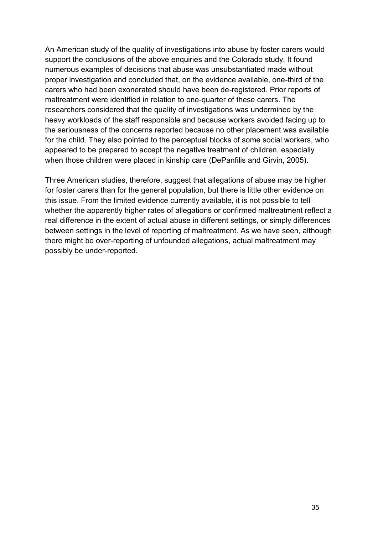An American study of the quality of investigations into abuse by foster carers would support the conclusions of the above enquiries and the Colorado study. It found numerous examples of decisions that abuse was unsubstantiated made without proper investigation and concluded that, on the evidence available, one-third of the carers who had been exonerated should have been de-registered. Prior reports of maltreatment were identified in relation to one-quarter of these carers. The researchers considered that the quality of investigations was undermined by the heavy workloads of the staff responsible and because workers avoided facing up to the seriousness of the concerns reported because no other placement was available for the child. They also pointed to the perceptual blocks of some social workers, who appeared to be prepared to accept the negative treatment of children, especially when those children were placed in kinship care (DePanfilis and Girvin, 2005).

Three American studies, therefore, suggest that allegations of abuse may be higher for foster carers than for the general population, but there is little other evidence on this issue. From the limited evidence currently available, it is not possible to tell whether the apparently higher rates of allegations or confirmed maltreatment reflect a real difference in the extent of actual abuse in different settings, or simply differences between settings in the level of reporting of maltreatment. As we have seen, although there might be over-reporting of unfounded allegations, actual maltreatment may possibly be under-reported.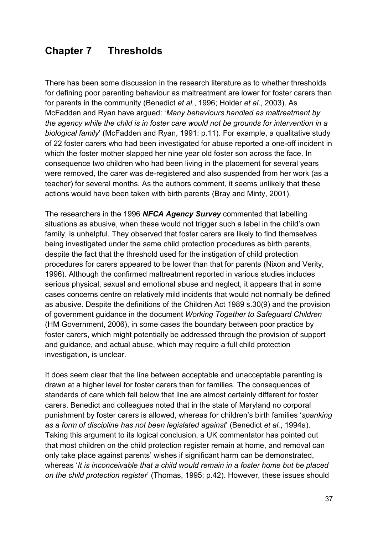## **Chapter 7 Thresholds**

There has been some discussion in the research literature as to whether thresholds for defining poor parenting behaviour as maltreatment are lower for foster carers than for parents in the community (Benedict *et al.*, 1996; Holder *et al.*, 2003). As McFadden and Ryan have argued: '*Many behaviours handled as maltreatment by the agency while the child is in foster care would not be grounds for intervention in a biological family*' (McFadden and Ryan, 1991: p.11). For example, a qualitative study of 22 foster carers who had been investigated for abuse reported a one-off incident in which the foster mother slapped her nine year old foster son across the face. In consequence two children who had been living in the placement for several years were removed, the carer was de-registered and also suspended from her work (as a teacher) for several months. As the authors comment, it seems unlikely that these actions would have been taken with birth parents (Bray and Minty, 2001).

The researchers in the 1996 *NFCA Agency Survey* commented that labelling situations as abusive, when these would not trigger such a label in the child's own family, is unhelpful. They observed that foster carers are likely to find themselves being investigated under the same child protection procedures as birth parents, despite the fact that the threshold used for the instigation of child protection procedures for carers appeared to be lower than that for parents (Nixon and Verity, 1996). Although the confirmed maltreatment reported in various studies includes serious physical, sexual and emotional abuse and neglect, it appears that in some cases concerns centre on relatively mild incidents that would not normally be defined as abusive. Despite the definitions of the Children Act 1989 s.30(9) and the provision of government guidance in the document *Working Together to Safeguard Children* (HM Government, 2006), in some cases the boundary between poor practice by foster carers, which might potentially be addressed through the provision of support and guidance, and actual abuse, which may require a full child protection investigation, is unclear.

It does seem clear that the line between acceptable and unacceptable parenting is drawn at a higher level for foster carers than for families. The consequences of standards of care which fall below that line are almost certainly different for foster carers. Benedict and colleagues noted that in the state of Maryland no corporal punishment by foster carers is allowed, whereas for children's birth families '*spanking as a form of discipline has not been legislated against*' (Benedict *et al.*, 1994a). Taking this argument to its logical conclusion, a UK commentator has pointed out that most children on the child protection register remain at home, and removal can only take place against parents' wishes if significant harm can be demonstrated, whereas '*It is inconceivable that a child would remain in a foster home but be placed on the child protection register*' (Thomas, 1995: p.42). However, these issues should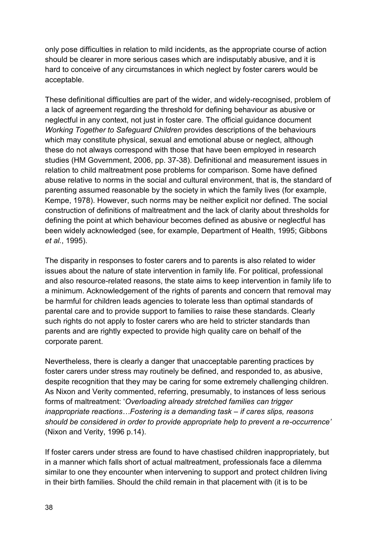only pose difficulties in relation to mild incidents, as the appropriate course of action should be clearer in more serious cases which are indisputably abusive, and it is hard to conceive of any circumstances in which neglect by foster carers would be acceptable.

These definitional difficulties are part of the wider, and widely-recognised, problem of a lack of agreement regarding the threshold for defining behaviour as abusive or neglectful in any context, not just in foster care. The official guidance document *Working Together to Safeguard Children* provides descriptions of the behaviours which may constitute physical, sexual and emotional abuse or neglect, although these do not always correspond with those that have been employed in research studies (HM Government, 2006, pp. 37-38). Definitional and measurement issues in relation to child maltreatment pose problems for comparison. Some have defined abuse relative to norms in the social and cultural environment, that is, the standard of parenting assumed reasonable by the society in which the family lives (for example, Kempe, 1978). However, such norms may be neither explicit nor defined. The social construction of definitions of maltreatment and the lack of clarity about thresholds for defining the point at which behaviour becomes defined as abusive or neglectful has been widely acknowledged (see, for example, Department of Health, 1995; Gibbons *et al.*, 1995).

The disparity in responses to foster carers and to parents is also related to wider issues about the nature of state intervention in family life. For political, professional and also resource-related reasons, the state aims to keep intervention in family life to a minimum. Acknowledgement of the rights of parents and concern that removal may be harmful for children leads agencies to tolerate less than optimal standards of parental care and to provide support to families to raise these standards. Clearly such rights do not apply to foster carers who are held to stricter standards than parents and are rightly expected to provide high quality care on behalf of the corporate parent.

Nevertheless, there is clearly a danger that unacceptable parenting practices by foster carers under stress may routinely be defined, and responded to, as abusive, despite recognition that they may be caring for some extremely challenging children. As Nixon and Verity commented, referring, presumably, to instances of less serious forms of maltreatment: '*Overloading already stretched families can trigger inappropriate reactions…Fostering is a demanding task – if cares slips, reasons should be considered in order to provide appropriate help to prevent a re-occurrence'*  (Nixon and Verity, 1996 p.14).

If foster carers under stress are found to have chastised children inappropriately, but in a manner which falls short of actual maltreatment, professionals face a dilemma similar to one they encounter when intervening to support and protect children living in their birth families. Should the child remain in that placement with (it is to be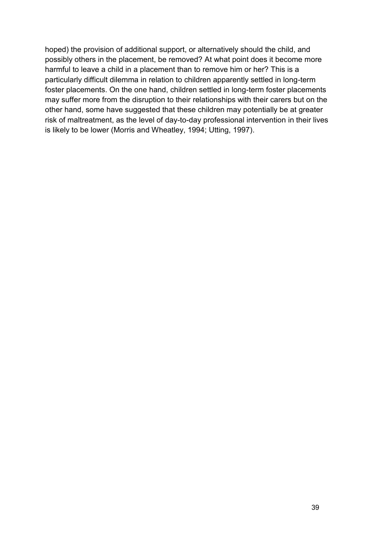hoped) the provision of additional support, or alternatively should the child, and possibly others in the placement, be removed? At what point does it become more harmful to leave a child in a placement than to remove him or her? This is a particularly difficult dilemma in relation to children apparently settled in long-term foster placements. On the one hand, children settled in long-term foster placements may suffer more from the disruption to their relationships with their carers but on the other hand, some have suggested that these children may potentially be at greater risk of maltreatment, as the level of day-to-day professional intervention in their lives is likely to be lower (Morris and Wheatley, 1994; Utting, 1997).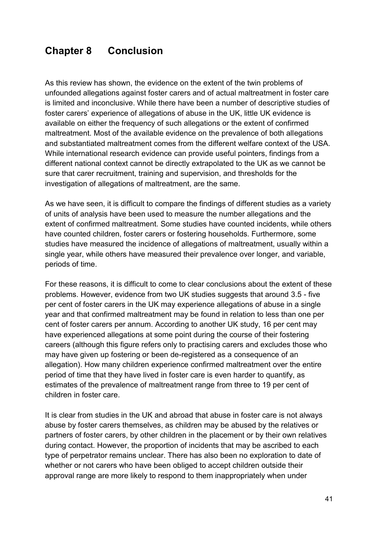## **Chapter 8 Conclusion**

As this review has shown, the evidence on the extent of the twin problems of unfounded allegations against foster carers and of actual maltreatment in foster care is limited and inconclusive. While there have been a number of descriptive studies of foster carers' experience of allegations of abuse in the UK, little UK evidence is available on either the frequency of such allegations or the extent of confirmed maltreatment. Most of the available evidence on the prevalence of both allegations and substantiated maltreatment comes from the different welfare context of the USA. While international research evidence can provide useful pointers, findings from a different national context cannot be directly extrapolated to the UK as we cannot be sure that carer recruitment, training and supervision, and thresholds for the investigation of allegations of maltreatment, are the same.

As we have seen, it is difficult to compare the findings of different studies as a variety of units of analysis have been used to measure the number allegations and the extent of confirmed maltreatment. Some studies have counted incidents, while others have counted children, foster carers or fostering households. Furthermore, some studies have measured the incidence of allegations of maltreatment, usually within a single year, while others have measured their prevalence over longer, and variable, periods of time.

For these reasons, it is difficult to come to clear conclusions about the extent of these problems. However, evidence from two UK studies suggests that around 3.5 - five per cent of foster carers in the UK may experience allegations of abuse in a single year and that confirmed maltreatment may be found in relation to less than one per cent of foster carers per annum. According to another UK study, 16 per cent may have experienced allegations at some point during the course of their fostering careers (although this figure refers only to practising carers and excludes those who may have given up fostering or been de-registered as a consequence of an allegation). How many children experience confirmed maltreatment over the entire period of time that they have lived in foster care is even harder to quantify, as estimates of the prevalence of maltreatment range from three to 19 per cent of children in foster care.

It is clear from studies in the UK and abroad that abuse in foster care is not always abuse by foster carers themselves, as children may be abused by the relatives or partners of foster carers, by other children in the placement or by their own relatives during contact. However, the proportion of incidents that may be ascribed to each type of perpetrator remains unclear. There has also been no exploration to date of whether or not carers who have been obliged to accept children outside their approval range are more likely to respond to them inappropriately when under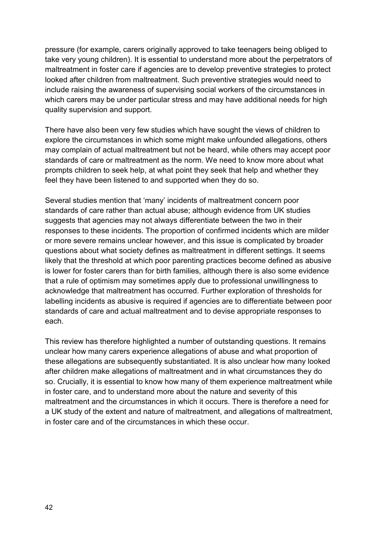pressure (for example, carers originally approved to take teenagers being obliged to take very young children). It is essential to understand more about the perpetrators of maltreatment in foster care if agencies are to develop preventive strategies to protect looked after children from maltreatment. Such preventive strategies would need to include raising the awareness of supervising social workers of the circumstances in which carers may be under particular stress and may have additional needs for high quality supervision and support.

There have also been very few studies which have sought the views of children to explore the circumstances in which some might make unfounded allegations, others may complain of actual maltreatment but not be heard, while others may accept poor standards of care or maltreatment as the norm. We need to know more about what prompts children to seek help, at what point they seek that help and whether they feel they have been listened to and supported when they do so.

Several studies mention that 'many' incidents of maltreatment concern poor standards of care rather than actual abuse; although evidence from UK studies suggests that agencies may not always differentiate between the two in their responses to these incidents. The proportion of confirmed incidents which are milder or more severe remains unclear however, and this issue is complicated by broader questions about what society defines as maltreatment in different settings. It seems likely that the threshold at which poor parenting practices become defined as abusive is lower for foster carers than for birth families, although there is also some evidence that a rule of optimism may sometimes apply due to professional unwillingness to acknowledge that maltreatment has occurred. Further exploration of thresholds for labelling incidents as abusive is required if agencies are to differentiate between poor standards of care and actual maltreatment and to devise appropriate responses to each.

This review has therefore highlighted a number of outstanding questions. It remains unclear how many carers experience allegations of abuse and what proportion of these allegations are subsequently substantiated. It is also unclear how many looked after children make allegations of maltreatment and in what circumstances they do so. Crucially, it is essential to know how many of them experience maltreatment while in foster care, and to understand more about the nature and severity of this maltreatment and the circumstances in which it occurs. There is therefore a need for a UK study of the extent and nature of maltreatment, and allegations of maltreatment, in foster care and of the circumstances in which these occur.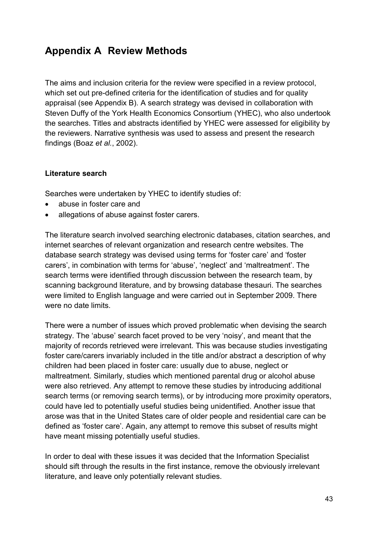# **Appendix A Review Methods**

The aims and inclusion criteria for the review were specified in a review protocol, which set out pre-defined criteria for the identification of studies and for quality appraisal (see Appendix B). A search strategy was devised in collaboration with Steven Duffy of the York Health Economics Consortium (YHEC), who also undertook the searches. Titles and abstracts identified by YHEC were assessed for eligibility by the reviewers. Narrative synthesis was used to assess and present the research findings (Boaz *et al.*, 2002).

#### **Literature search**

Searches were undertaken by YHEC to identify studies of:

- abuse in foster care and
- allegations of abuse against foster carers.

The literature search involved searching electronic databases, citation searches, and internet searches of relevant organization and research centre websites. The database search strategy was devised using terms for 'foster care' and 'foster carers', in combination with terms for 'abuse', 'neglect' and 'maltreatment'. The search terms were identified through discussion between the research team, by scanning background literature, and by browsing database thesauri. The searches were limited to English language and were carried out in September 2009. There were no date limits.

There were a number of issues which proved problematic when devising the search strategy. The 'abuse' search facet proved to be very 'noisy', and meant that the majority of records retrieved were irrelevant. This was because studies investigating foster care/carers invariably included in the title and/or abstract a description of why children had been placed in foster care: usually due to abuse, neglect or maltreatment. Similarly, studies which mentioned parental drug or alcohol abuse were also retrieved. Any attempt to remove these studies by introducing additional search terms (or removing search terms), or by introducing more proximity operators, could have led to potentially useful studies being unidentified. Another issue that arose was that in the United States care of older people and residential care can be defined as 'foster care'. Again, any attempt to remove this subset of results might have meant missing potentially useful studies.

In order to deal with these issues it was decided that the Information Specialist should sift through the results in the first instance, remove the obviously irrelevant literature, and leave only potentially relevant studies.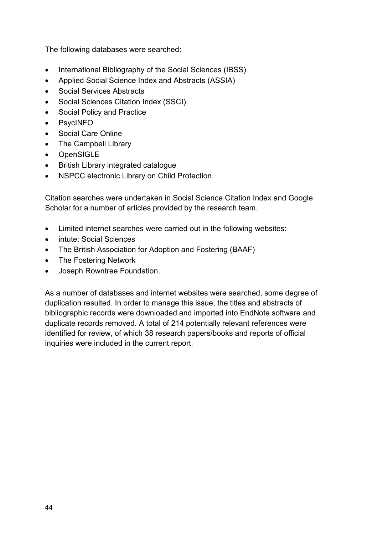The following databases were searched:

- International Bibliography of the Social Sciences (IBSS)
- Applied Social Science Index and Abstracts (ASSIA)
- Social Services Abstracts
- Social Sciences Citation Index (SSCI)
- Social Policy and Practice
- PsycINFO
- Social Care Online
- The Campbell Library
- OpenSIGLE
- British Library integrated catalogue
- NSPCC electronic Library on Child Protection.

Citation searches were undertaken in Social Science Citation Index and Google Scholar for a number of articles provided by the research team.

- Limited internet searches were carried out in the following websites:
- intute: Social Sciences
- The British Association for Adoption and Fostering (BAAF)
- The Fostering Network
- Joseph Rowntree Foundation.

As a number of databases and internet websites were searched, some degree of duplication resulted. In order to manage this issue, the titles and abstracts of bibliographic records were downloaded and imported into EndNote software and duplicate records removed. A total of 214 potentially relevant references were identified for review, of which 38 research papers/books and reports of official inquiries were included in the current report.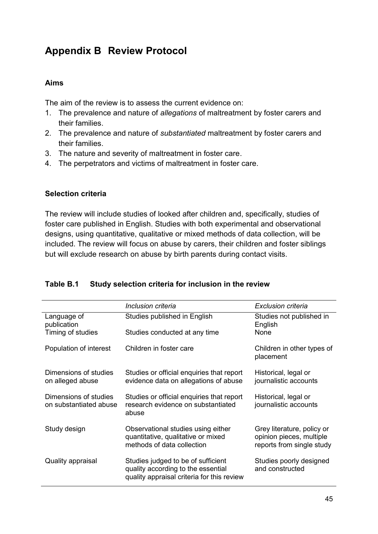# **Appendix B Review Protocol**

#### **Aims**

The aim of the review is to assess the current evidence on:

- 1. The prevalence and nature of *allegations* of maltreatment by foster carers and their families.
- 2. The prevalence and nature of *substantiated* maltreatment by foster carers and their families.
- 3. The nature and severity of maltreatment in foster care.
- 4. The perpetrators and victims of maltreatment in foster care.

#### **Selection criteria**

The review will include studies of looked after children and, specifically, studies of foster care published in English. Studies with both experimental and observational designs, using quantitative, qualitative or mixed methods of data collection, will be included. The review will focus on abuse by carers, their children and foster siblings but will exclude research on abuse by birth parents during contact visits.

|                                                 | Inclusion criteria                                                                                                     | Exclusion criteria                                                                  |
|-------------------------------------------------|------------------------------------------------------------------------------------------------------------------------|-------------------------------------------------------------------------------------|
| Language of<br>publication                      | Studies published in English                                                                                           | Studies not published in<br>English                                                 |
| Timing of studies                               | Studies conducted at any time                                                                                          | None                                                                                |
| Population of interest                          | Children in foster care                                                                                                | Children in other types of<br>placement                                             |
| Dimensions of studies<br>on alleged abuse       | Studies or official enquiries that report<br>evidence data on allegations of abuse                                     | Historical, legal or<br>journalistic accounts                                       |
| Dimensions of studies<br>on substantiated abuse | Studies or official enquiries that report<br>research evidence on substantiated<br>abuse                               | Historical, legal or<br>journalistic accounts                                       |
| Study design                                    | Observational studies using either<br>quantitative, qualitative or mixed<br>methods of data collection                 | Grey literature, policy or<br>opinion pieces, multiple<br>reports from single study |
| Quality appraisal                               | Studies judged to be of sufficient<br>quality according to the essential<br>quality appraisal criteria for this review | Studies poorly designed<br>and constructed                                          |

#### **Table B.1 Study selection criteria for inclusion in the review**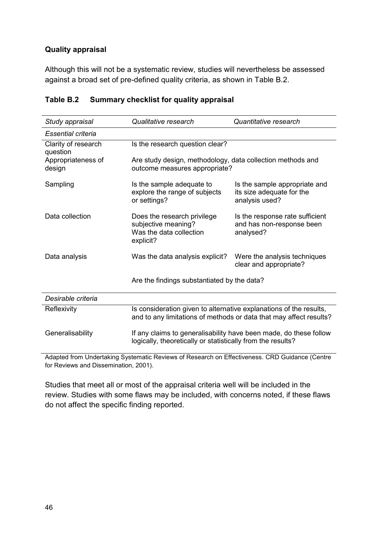#### **Quality appraisal**

Although this will not be a systematic review, studies will nevertheless be assessed against a broad set of pre-defined quality criteria, as shown in Table B.2.

| Study appraisal                                                                                                                                         | Qualitative research                                                                                                             | Quantitative research                                                        |  |  |
|---------------------------------------------------------------------------------------------------------------------------------------------------------|----------------------------------------------------------------------------------------------------------------------------------|------------------------------------------------------------------------------|--|--|
| Essential criteria                                                                                                                                      |                                                                                                                                  |                                                                              |  |  |
| Clarity of research<br>question                                                                                                                         | Is the research question clear?                                                                                                  |                                                                              |  |  |
| Appropriateness of<br>design                                                                                                                            | Are study design, methodology, data collection methods and<br>outcome measures appropriate?                                      |                                                                              |  |  |
| Sampling                                                                                                                                                | Is the sample adequate to<br>explore the range of subjects<br>or settings?                                                       | Is the sample appropriate and<br>its size adequate for the<br>analysis used? |  |  |
| Data collection                                                                                                                                         | Does the research privilege<br>subjective meaning?<br>Was the data collection<br>explicit?                                       | Is the response rate sufficient<br>and has non-response been<br>analysed?    |  |  |
| Data analysis                                                                                                                                           | Was the data analysis explicit?                                                                                                  | Were the analysis techniques<br>clear and appropriate?                       |  |  |
|                                                                                                                                                         | Are the findings substantiated by the data?                                                                                      |                                                                              |  |  |
| Desirable criteria                                                                                                                                      |                                                                                                                                  |                                                                              |  |  |
| Is consideration given to alternative explanations of the results,<br>Reflexivity<br>and to any limitations of methods or data that may affect results? |                                                                                                                                  |                                                                              |  |  |
| Generalisability                                                                                                                                        | If any claims to generalisability have been made, do these follow<br>logically, theoretically or statistically from the results? |                                                                              |  |  |

#### **Table B.2 Summary checklist for quality appraisal**

Adapted from Undertaking Systematic Reviews of Research on Effectiveness. CRD Guidance (Centre for Reviews and Dissemination, 2001).

Studies that meet all or most of the appraisal criteria well will be included in the review. Studies with some flaws may be included, with concerns noted, if these flaws do not affect the specific finding reported.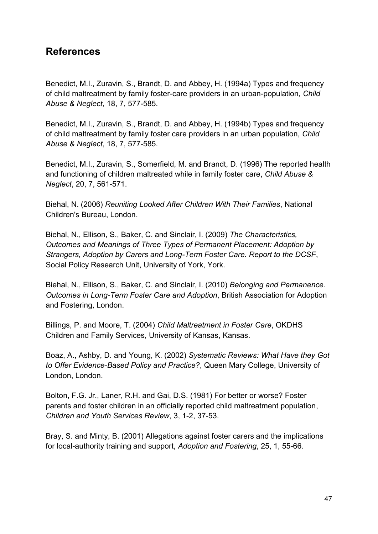### **References**

Benedict, M.I., Zuravin, S., Brandt, D. and Abbey, H. (1994a) Types and frequency of child maltreatment by family foster-care providers in an urban-population, *Child Abuse & Neglect*, 18, 7, 577-585.

Benedict, M.I., Zuravin, S., Brandt, D. and Abbey, H. (1994b) Types and frequency of child maltreatment by family foster care providers in an urban population, *Child Abuse & Neglect*, 18, 7, 577-585.

Benedict, M.I., Zuravin, S., Somerfield, M. and Brandt, D. (1996) The reported health and functioning of children maltreated while in family foster care, *Child Abuse & Neglect*, 20, 7, 561-571.

Biehal, N. (2006) *Reuniting Looked After Children With Their Families*, National Children's Bureau, London.

Biehal, N., Ellison, S., Baker, C. and Sinclair, I. (2009) *The Characteristics, Outcomes and Meanings of Three Types of Permanent Placement: Adoption by Strangers, Adoption by Carers and Long-Term Foster Care. Report to the DCSF*, Social Policy Research Unit, University of York, York.

Biehal, N., Ellison, S., Baker, C. and Sinclair, I. (2010) *Belonging and Permanence. Outcomes in Long-Term Foster Care and Adoption*, British Association for Adoption and Fostering, London.

Billings, P. and Moore, T. (2004) *Child Maltreatment in Foster Care*, OKDHS Children and Family Services, University of Kansas, Kansas.

Boaz, A., Ashby, D. and Young, K. (2002) *Systematic Reviews: What Have they Got to Offer Evidence-Based Policy and Practice?*, Queen Mary College, University of London, London.

Bolton, F.G. Jr., Laner, R.H. and Gai, D.S. (1981) For better or worse? Foster parents and foster children in an officially reported child maltreatment population, *Children and Youth Services Review*, 3, 1-2, 37-53.

Bray, S. and Minty, B. (2001) Allegations against foster carers and the implications for local-authority training and support, *Adoption and Fostering*, 25, 1, 55-66.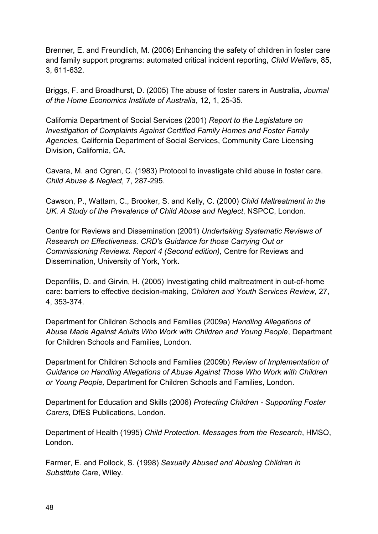Brenner, E. and Freundlich, M. (2006) Enhancing the safety of children in foster care and family support programs: automated critical incident reporting, *Child Welfare*, 85, 3, 611-632.

Briggs, F. and Broadhurst, D. (2005) The abuse of foster carers in Australia, *Journal of the Home Economics Institute of Australia*, 12, 1, 25-35.

California Department of Social Services (2001) *Report to the Legislature on Investigation of Complaints Against Certified Family Homes and Foster Family Agencies,* California Department of Social Services, Community Care Licensing Division, California, CA.

Cavara, M. and Ogren, C. (1983) Protocol to investigate child abuse in foster care. *Child Abuse & Neglect,* 7, 287-295.

Cawson, P., Wattam, C., Brooker, S. and Kelly, C. (2000) *Child Maltreatment in the UK. A Study of the Prevalence of Child Abuse and Neglect*, NSPCC, London.

Centre for Reviews and Dissemination (2001) *Undertaking Systematic Reviews of Research on Effectiveness. CRD's Guidance for those Carrying Out or Commissioning Reviews. Report 4 (Second edition),* Centre for Reviews and Dissemination, University of York, York.

Depanfilis, D. and Girvin, H. (2005) Investigating child maltreatment in out-of-home care: barriers to effective decision-making, *Children and Youth Services Review,* 27, 4, 353-374.

Department for Children Schools and Families (2009a) *Handling Allegations of Abuse Made Against Adults Who Work with Children and Young People*, Department for Children Schools and Families, London.

Department for Children Schools and Families (2009b) *Review of Implementation of Guidance on Handling Allegations of Abuse Against Those Who Work with Children or Young People,* Department for Children Schools and Families, London.

Department for Education and Skills (2006) *Protecting Children - Supporting Foster Carers*, DfES Publications, London.

Department of Health (1995) *Child Protection. Messages from the Research*, HMSO, London.

Farmer, E. and Pollock, S. (1998) *Sexually Abused and Abusing Children in Substitute Care*, Wiley.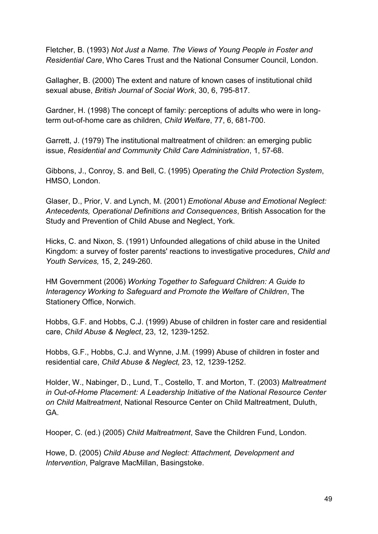Fletcher, B. (1993) *Not Just a Name. The Views of Young People in Foster and Residential Care*, Who Cares Trust and the National Consumer Council, London.

Gallagher, B. (2000) The extent and nature of known cases of institutional child sexual abuse, *British Journal of Social Work*, 30, 6, 795-817.

Gardner, H. (1998) The concept of family: perceptions of adults who were in longterm out-of-home care as children, *Child Welfare*, 77, 6, 681-700.

Garrett, J. (1979) The institutional maltreatment of children: an emerging public issue, *Residential and Community Child Care Administration*, 1, 57-68.

Gibbons, J., Conroy, S. and Bell, C. (1995) *Operating the Child Protection System*, HMSO, London.

Glaser, D., Prior, V. and Lynch, M. (2001) *Emotional Abuse and Emotional Neglect: Antecedents, Operational Definitions and Consequences*, British Assocation for the Study and Prevention of Child Abuse and Neglect, York.

Hicks, C. and Nixon, S. (1991) Unfounded allegations of child abuse in the United Kingdom: a survey of foster parents' reactions to investigative procedures, *Child and Youth Services,* 15, 2, 249-260.

HM Government (2006) *Working Together to Safeguard Children: A Guide to Interagency Working to Safeguard and Promote the Welfare of Children*, The Stationery Office, Norwich.

Hobbs, G.F. and Hobbs, C.J. (1999) Abuse of children in foster care and residential care, *Child Abuse & Neglect*, 23, 12, 1239-1252.

Hobbs, G.F., Hobbs, C.J. and Wynne, J.M. (1999) Abuse of children in foster and residential care, *Child Abuse & Neglect,* 23, 12, 1239-1252.

Holder, W., Nabinger, D., Lund, T., Costello, T. and Morton, T. (2003) *Maltreatment in Out-of-Home Placement: A Leadership Initiative of the National Resource Center on Child Maltreatment*, National Resource Center on Child Maltreatment, Duluth, GA.

Hooper, C. (ed.) (2005) *Child Maltreatment*, Save the Children Fund, London.

Howe, D. (2005) *Child Abuse and Neglect: Attachment, Development and Intervention*, Palgrave MacMillan, Basingstoke.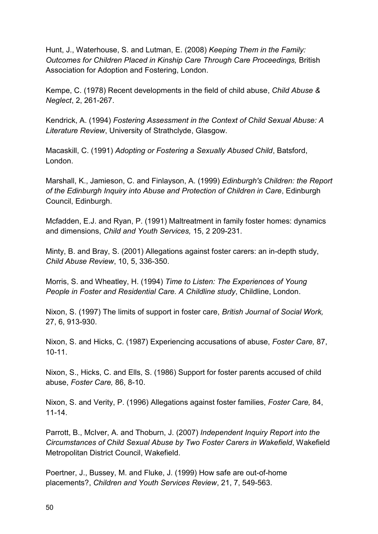Hunt, J., Waterhouse, S. and Lutman, E. (2008) *Keeping Them in the Family: Outcomes for Children Placed in Kinship Care Through Care Proceedings,* British Association for Adoption and Fostering, London.

Kempe, C. (1978) Recent developments in the field of child abuse, *Child Abuse & Neglect*, 2, 261-267.

Kendrick, A. (1994) *Fostering Assessment in the Context of Child Sexual Abuse: A Literature Review*, University of Strathclyde, Glasgow.

Macaskill, C. (1991) *Adopting or Fostering a Sexually Abused Child*, Batsford, London.

Marshall, K., Jamieson, C. and Finlayson, A. (1999) *Edinburgh's Children: the Report of the Edinburgh Inquiry into Abuse and Protection of Children in Care*, Edinburgh Council, Edinburgh.

Mcfadden, E.J. and Ryan, P. (1991) Maltreatment in family foster homes: dynamics and dimensions, *Child and Youth Services,* 15, 2 209-231.

Minty, B. and Bray, S. (2001) Allegations against foster carers: an in-depth study, *Child Abuse Review*, 10, 5, 336-350.

Morris, S. and Wheatley, H. (1994) *Time to Listen: The Experiences of Young People in Foster and Residential Care. A Childline study*, Childline, London.

Nixon, S. (1997) The limits of support in foster care, *British Journal of Social Work,* 27, 6, 913-930.

Nixon, S. and Hicks, C. (1987) Experiencing accusations of abuse, *Foster Care,* 87, 10-11.

Nixon, S., Hicks, C. and Ells, S. (1986) Support for foster parents accused of child abuse, *Foster Care,* 86, 8-10.

Nixon, S. and Verity, P. (1996) Allegations against foster families, *Foster Care,* 84, 11-14.

Parrott, B., McIver, A. and Thoburn, J. (2007) *Independent Inquiry Report into the Circumstances of Child Sexual Abuse by Two Foster Carers in Wakefield*, Wakefield Metropolitan District Council, Wakefield.

Poertner, J., Bussey, M. and Fluke, J. (1999) How safe are out-of-home placements?, *Children and Youth Services Review*, 21, 7, 549-563.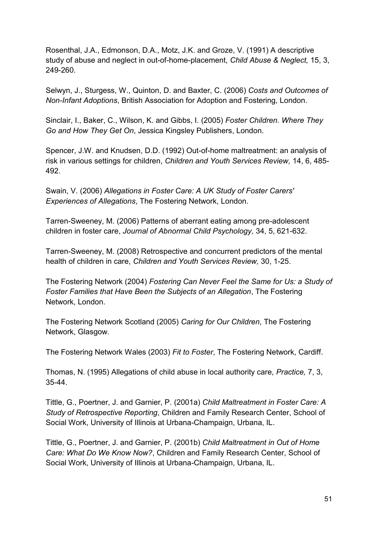Rosenthal, J.A., Edmonson, D.A., Motz, J.K. and Groze, V. (1991) A descriptive study of abuse and neglect in out-of-home-placement, *Child Abuse & Neglect,* 15, 3, 249-260.

Selwyn, J., Sturgess, W., Quinton, D. and Baxter, C. (2006) *Costs and Outcomes of Non-Infant Adoptions*, British Association for Adoption and Fostering, London.

Sinclair, I., Baker, C., Wilson, K. and Gibbs, I. (2005) *Foster Children. Where They Go and How They Get On*, Jessica Kingsley Publishers, London.

Spencer, J.W. and Knudsen, D.D. (1992) Out-of-home maltreatment: an analysis of risk in various settings for children, *Children and Youth Services Review,* 14, 6, 485- 492.

Swain, V. (2006) *Allegations in Foster Care: A UK Study of Foster Carers' Experiences of Allegations*, The Fostering Network, London.

Tarren-Sweeney, M. (2006) Patterns of aberrant eating among pre-adolescent children in foster care, *Journal of Abnormal Child Psychology,* 34, 5, 621-632.

Tarren-Sweeney, M. (2008) Retrospective and concurrent predictors of the mental health of children in care, *Children and Youth Services Review,* 30, 1-25.

The Fostering Network (2004) *Fostering Can Never Feel the Same for Us: a Study of Foster Families that Have Been the Subjects of an Allegation*, The Fostering Network, London.

The Fostering Network Scotland (2005) *Caring for Our Children*, The Fostering Network, Glasgow.

The Fostering Network Wales (2003) *Fit to Foster*, The Fostering Network, Cardiff.

Thomas, N. (1995) Allegations of child abuse in local authority care, *Practice,* 7, 3, 35-44.

Tittle, G., Poertner, J. and Garnier, P. (2001a) *Child Maltreatment in Foster Care: A Study of Retrospective Reporting*, Children and Family Research Center, School of Social Work, University of Illinois at Urbana-Champaign, Urbana, IL.

Tittle, G., Poertner, J. and Garnier, P. (2001b) *Child Maltreatment in Out of Home Care: What Do We Know Now?*, Children and Family Research Center, School of Social Work, University of Illinois at Urbana-Champaign, Urbana, IL.